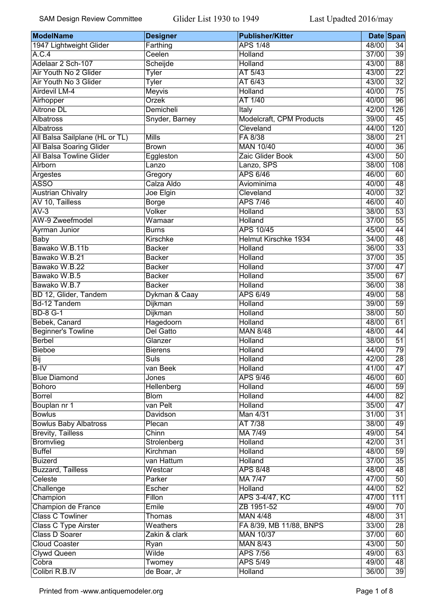| Farthing<br>48/00<br>1947 Lightweight Glider<br><b>APS 1/48</b><br>$\overline{34}$<br>A.C.4<br>Ceelen<br><b>Holland</b><br>37/00<br>$\overline{39}$<br>$\overline{88}$<br>Adelaar 2 Sch-107<br>43/00<br>Scheijde<br>Holland<br>Air Youth No 2 Glider<br>AT 5/43<br>43/00<br>$\overline{22}$<br><b>Tyler</b><br>$\overline{32}$<br>AT 6/43<br>Air Youth No 3 Glider<br><b>Tyler</b><br>43/00<br>$\overline{75}$<br>Airdevil LM-4<br>Holland<br>Meyvis<br>40/00<br>$\overline{96}$<br>Orzek<br>AT 1/40<br>Airhopper<br>40/00<br><b>Aitrone DL</b><br>126<br>Demicheli<br>Italy<br>42/00<br>Modelcraft, CPM Products<br>45<br><b>Albatross</b><br>39/00<br>Snyder, Barney<br><b>Albatross</b><br>Cleveland<br>120<br>44/00<br><b>Mills</b><br>All Balsa Sailplane (HL or TL)<br>FA 8/38<br>38/00<br>$\overline{21}$<br>All Balsa Soaring Glider<br><b>MAN 10/40</b><br>40/00<br>$\overline{36}$<br><b>Brown</b><br>All Balsa Towline Glider<br>$\overline{50}$<br>Zaic Glider Book<br>43/00<br>Eggleston<br>108<br>Alrborn<br>Lanzo, SPS<br>38/00<br>Lanzo<br>Argestes<br><b>APS 6/46</b><br>60<br>Gregory<br>46/00<br><b>ASSO</b><br>48<br>Calza Aldo<br>Aviominima<br>40/00<br><b>Austrian Chivalry</b><br>$\overline{32}$<br>Joe Elgin<br>Cleveland<br>40/00<br>AV 10, Tailless<br><b>APS 7/46</b><br>46/00<br>40<br><b>Borge</b><br>$\overline{53}$<br>$AV-3$<br>Volker<br><b>Holland</b><br>38/00<br>AW-9 Zweefmodel<br>$\overline{55}$<br>Wamaar<br>Holland<br>37/00<br>$\overline{44}$<br><b>APS 10/45</b><br>45/00<br><b>Ayrman Junior</b><br><b>Burns</b><br><b>Helmut Kirschke 1934</b><br>48<br><b>Baby</b><br>34/00<br><b>Kirschke</b><br>$\overline{33}$<br>Bawako W.B.11b<br>Holland<br><b>Backer</b><br>36/00<br>$\overline{35}$<br>Bawako W.B.21<br>37/00<br><b>Backer</b><br>Holland<br>$\overline{47}$<br>Bawako W.B.22<br><b>Holland</b><br>37/00<br><b>Backer</b><br>67<br>Bawako W.B.5<br><b>Holland</b><br>35/00<br><b>Backer</b><br>$\overline{38}$<br>Bawako W.B.7<br>Holland<br>36/00<br><b>Backer</b><br>$\overline{58}$<br>BD 12, Glider, Tandem<br>APS 6/49<br>49/00<br>Dykman & Caay<br><b>Bd-12 Tandem</b><br>$\overline{59}$<br><b>Dijkman</b><br>Holland<br>39/00<br>$\overline{50}$<br><b>BD-8 G-1</b><br><b>Dijkman</b><br><b>Holland</b><br>38/00<br>61<br>Bebek, Canard<br>Hagedoorn<br>Holland<br>48/00<br><b>Beginner's Towline</b><br><b>Del Gatto</b><br><b>MAN 8/48</b><br>48/00<br>44<br><b>Berbel</b><br>Glanzer<br>38/00<br>51<br>Holland<br>79<br><b>Bieboe</b><br>44/00<br><b>Bierens</b><br>Holland<br><b>Suls</b><br>$\overline{28}$<br>Holland<br>42/00<br>Bij<br>$B-IV$<br><b>Holland</b><br>41/00<br>47<br>van Beek<br><b>Blue Diamond</b><br><b>APS 9/46</b><br>46/00<br>60<br>Jones<br>$\overline{59}$<br><b>Bohoro</b><br><b>Holland</b><br>46/00<br><b>Hellenberg</b><br>$\overline{82}$<br><b>Borrel</b><br><b>Blom</b><br><b>Holland</b><br>44/00<br>Bouplan nr 1<br>47<br>van Pelt<br><b>Holland</b><br>35/00<br><b>Bowlus</b><br>$\overline{31}$<br>Man 4/31<br>31/00<br><b>Davidson</b><br><b>Bowlus Baby Albatross</b><br>AT 7/38<br>38/00<br>49<br>Plecan<br><b>Brevity, Tailless</b><br>Chinn<br>MA 7/49<br>49/00<br>$\overline{54}$<br>$\overline{31}$<br>Bromvlieg<br><b>Holland</b><br>42/00<br>Strolenberg<br><b>Buffel</b><br>Kirchman<br><b>Holland</b><br>48/00<br>59<br>$\overline{35}$<br><b>Buizerd</b><br>van Hattum<br><b>Holland</b><br>37/00<br><b>Buzzard, Tailless</b><br><b>APS 8/48</b><br>48<br>Westcar<br>48/00<br>Celeste<br>$\overline{50}$<br>Parker<br><b>MA 7/47</b><br>47/00<br>52<br>Challenge<br>Holland<br>44/00<br>Escher<br>Champion<br>Fillon<br>111<br>APS 3-4/47, KC<br>47/00<br>Champion de France<br>Emile<br>ZB 1951-52<br>49/00<br>70<br><b>Class C Towliner</b><br>31<br><b>MAN 4/48</b><br>48/00<br>Thomas<br><b>Class C Type Airster</b><br>FA 8/39, MB 11/88, BNPS<br>$\overline{28}$<br>Weathers<br>33/00<br>Class D Soarer<br>60<br><b>MAN 10/37</b><br>37/00<br>Zakin & clark<br>50<br><b>Cloud Coaster</b><br><b>MAN 8/43</b><br>43/00<br>Ryan<br>63<br><b>Clywd Queen</b><br>Wilde<br><b>APS 7/56</b><br>49/00<br>Cobra<br><b>APS 5/49</b><br>48<br>49/00<br>Twomey | <b>ModelName</b> | <b>Designer</b> | <b>Publisher/Kitter</b> |       | Date Span       |
|--------------------------------------------------------------------------------------------------------------------------------------------------------------------------------------------------------------------------------------------------------------------------------------------------------------------------------------------------------------------------------------------------------------------------------------------------------------------------------------------------------------------------------------------------------------------------------------------------------------------------------------------------------------------------------------------------------------------------------------------------------------------------------------------------------------------------------------------------------------------------------------------------------------------------------------------------------------------------------------------------------------------------------------------------------------------------------------------------------------------------------------------------------------------------------------------------------------------------------------------------------------------------------------------------------------------------------------------------------------------------------------------------------------------------------------------------------------------------------------------------------------------------------------------------------------------------------------------------------------------------------------------------------------------------------------------------------------------------------------------------------------------------------------------------------------------------------------------------------------------------------------------------------------------------------------------------------------------------------------------------------------------------------------------------------------------------------------------------------------------------------------------------------------------------------------------------------------------------------------------------------------------------------------------------------------------------------------------------------------------------------------------------------------------------------------------------------------------------------------------------------------------------------------------------------------------------------------------------------------------------------------------------------------------------------------------------------------------------------------------------------------------------------------------------------------------------------------------------------------------------------------------------------------------------------------------------------------------------------------------------------------------------------------------------------------------------------------------------------------------------------------------------------------------------------------------------------------------------------------------------------------------------------------------------------------------------------------------------------------------------------------------------------------------------------------------------------------------------------------------------------------------------------------------------------------------------------------------------------------------------------------------------------------------------------------------------------------------------------------------------------------------------------------------------------------------------------------------------------------------------------------------------------------------------------------------------------------------------------------------------------------------------------------------------------------------------------------------------------------------------------------------------------------------------------|------------------|-----------------|-------------------------|-------|-----------------|
|                                                                                                                                                                                                                                                                                                                                                                                                                                                                                                                                                                                                                                                                                                                                                                                                                                                                                                                                                                                                                                                                                                                                                                                                                                                                                                                                                                                                                                                                                                                                                                                                                                                                                                                                                                                                                                                                                                                                                                                                                                                                                                                                                                                                                                                                                                                                                                                                                                                                                                                                                                                                                                                                                                                                                                                                                                                                                                                                                                                                                                                                                                                                                                                                                                                                                                                                                                                                                                                                                                                                                                                                                                                                                                                                                                                                                                                                                                                                                                                                                                                                                                                                                                                |                  |                 |                         |       |                 |
|                                                                                                                                                                                                                                                                                                                                                                                                                                                                                                                                                                                                                                                                                                                                                                                                                                                                                                                                                                                                                                                                                                                                                                                                                                                                                                                                                                                                                                                                                                                                                                                                                                                                                                                                                                                                                                                                                                                                                                                                                                                                                                                                                                                                                                                                                                                                                                                                                                                                                                                                                                                                                                                                                                                                                                                                                                                                                                                                                                                                                                                                                                                                                                                                                                                                                                                                                                                                                                                                                                                                                                                                                                                                                                                                                                                                                                                                                                                                                                                                                                                                                                                                                                                |                  |                 |                         |       |                 |
|                                                                                                                                                                                                                                                                                                                                                                                                                                                                                                                                                                                                                                                                                                                                                                                                                                                                                                                                                                                                                                                                                                                                                                                                                                                                                                                                                                                                                                                                                                                                                                                                                                                                                                                                                                                                                                                                                                                                                                                                                                                                                                                                                                                                                                                                                                                                                                                                                                                                                                                                                                                                                                                                                                                                                                                                                                                                                                                                                                                                                                                                                                                                                                                                                                                                                                                                                                                                                                                                                                                                                                                                                                                                                                                                                                                                                                                                                                                                                                                                                                                                                                                                                                                |                  |                 |                         |       |                 |
|                                                                                                                                                                                                                                                                                                                                                                                                                                                                                                                                                                                                                                                                                                                                                                                                                                                                                                                                                                                                                                                                                                                                                                                                                                                                                                                                                                                                                                                                                                                                                                                                                                                                                                                                                                                                                                                                                                                                                                                                                                                                                                                                                                                                                                                                                                                                                                                                                                                                                                                                                                                                                                                                                                                                                                                                                                                                                                                                                                                                                                                                                                                                                                                                                                                                                                                                                                                                                                                                                                                                                                                                                                                                                                                                                                                                                                                                                                                                                                                                                                                                                                                                                                                |                  |                 |                         |       |                 |
|                                                                                                                                                                                                                                                                                                                                                                                                                                                                                                                                                                                                                                                                                                                                                                                                                                                                                                                                                                                                                                                                                                                                                                                                                                                                                                                                                                                                                                                                                                                                                                                                                                                                                                                                                                                                                                                                                                                                                                                                                                                                                                                                                                                                                                                                                                                                                                                                                                                                                                                                                                                                                                                                                                                                                                                                                                                                                                                                                                                                                                                                                                                                                                                                                                                                                                                                                                                                                                                                                                                                                                                                                                                                                                                                                                                                                                                                                                                                                                                                                                                                                                                                                                                |                  |                 |                         |       |                 |
|                                                                                                                                                                                                                                                                                                                                                                                                                                                                                                                                                                                                                                                                                                                                                                                                                                                                                                                                                                                                                                                                                                                                                                                                                                                                                                                                                                                                                                                                                                                                                                                                                                                                                                                                                                                                                                                                                                                                                                                                                                                                                                                                                                                                                                                                                                                                                                                                                                                                                                                                                                                                                                                                                                                                                                                                                                                                                                                                                                                                                                                                                                                                                                                                                                                                                                                                                                                                                                                                                                                                                                                                                                                                                                                                                                                                                                                                                                                                                                                                                                                                                                                                                                                |                  |                 |                         |       |                 |
|                                                                                                                                                                                                                                                                                                                                                                                                                                                                                                                                                                                                                                                                                                                                                                                                                                                                                                                                                                                                                                                                                                                                                                                                                                                                                                                                                                                                                                                                                                                                                                                                                                                                                                                                                                                                                                                                                                                                                                                                                                                                                                                                                                                                                                                                                                                                                                                                                                                                                                                                                                                                                                                                                                                                                                                                                                                                                                                                                                                                                                                                                                                                                                                                                                                                                                                                                                                                                                                                                                                                                                                                                                                                                                                                                                                                                                                                                                                                                                                                                                                                                                                                                                                |                  |                 |                         |       |                 |
|                                                                                                                                                                                                                                                                                                                                                                                                                                                                                                                                                                                                                                                                                                                                                                                                                                                                                                                                                                                                                                                                                                                                                                                                                                                                                                                                                                                                                                                                                                                                                                                                                                                                                                                                                                                                                                                                                                                                                                                                                                                                                                                                                                                                                                                                                                                                                                                                                                                                                                                                                                                                                                                                                                                                                                                                                                                                                                                                                                                                                                                                                                                                                                                                                                                                                                                                                                                                                                                                                                                                                                                                                                                                                                                                                                                                                                                                                                                                                                                                                                                                                                                                                                                |                  |                 |                         |       |                 |
|                                                                                                                                                                                                                                                                                                                                                                                                                                                                                                                                                                                                                                                                                                                                                                                                                                                                                                                                                                                                                                                                                                                                                                                                                                                                                                                                                                                                                                                                                                                                                                                                                                                                                                                                                                                                                                                                                                                                                                                                                                                                                                                                                                                                                                                                                                                                                                                                                                                                                                                                                                                                                                                                                                                                                                                                                                                                                                                                                                                                                                                                                                                                                                                                                                                                                                                                                                                                                                                                                                                                                                                                                                                                                                                                                                                                                                                                                                                                                                                                                                                                                                                                                                                |                  |                 |                         |       |                 |
|                                                                                                                                                                                                                                                                                                                                                                                                                                                                                                                                                                                                                                                                                                                                                                                                                                                                                                                                                                                                                                                                                                                                                                                                                                                                                                                                                                                                                                                                                                                                                                                                                                                                                                                                                                                                                                                                                                                                                                                                                                                                                                                                                                                                                                                                                                                                                                                                                                                                                                                                                                                                                                                                                                                                                                                                                                                                                                                                                                                                                                                                                                                                                                                                                                                                                                                                                                                                                                                                                                                                                                                                                                                                                                                                                                                                                                                                                                                                                                                                                                                                                                                                                                                |                  |                 |                         |       |                 |
|                                                                                                                                                                                                                                                                                                                                                                                                                                                                                                                                                                                                                                                                                                                                                                                                                                                                                                                                                                                                                                                                                                                                                                                                                                                                                                                                                                                                                                                                                                                                                                                                                                                                                                                                                                                                                                                                                                                                                                                                                                                                                                                                                                                                                                                                                                                                                                                                                                                                                                                                                                                                                                                                                                                                                                                                                                                                                                                                                                                                                                                                                                                                                                                                                                                                                                                                                                                                                                                                                                                                                                                                                                                                                                                                                                                                                                                                                                                                                                                                                                                                                                                                                                                |                  |                 |                         |       |                 |
|                                                                                                                                                                                                                                                                                                                                                                                                                                                                                                                                                                                                                                                                                                                                                                                                                                                                                                                                                                                                                                                                                                                                                                                                                                                                                                                                                                                                                                                                                                                                                                                                                                                                                                                                                                                                                                                                                                                                                                                                                                                                                                                                                                                                                                                                                                                                                                                                                                                                                                                                                                                                                                                                                                                                                                                                                                                                                                                                                                                                                                                                                                                                                                                                                                                                                                                                                                                                                                                                                                                                                                                                                                                                                                                                                                                                                                                                                                                                                                                                                                                                                                                                                                                |                  |                 |                         |       |                 |
|                                                                                                                                                                                                                                                                                                                                                                                                                                                                                                                                                                                                                                                                                                                                                                                                                                                                                                                                                                                                                                                                                                                                                                                                                                                                                                                                                                                                                                                                                                                                                                                                                                                                                                                                                                                                                                                                                                                                                                                                                                                                                                                                                                                                                                                                                                                                                                                                                                                                                                                                                                                                                                                                                                                                                                                                                                                                                                                                                                                                                                                                                                                                                                                                                                                                                                                                                                                                                                                                                                                                                                                                                                                                                                                                                                                                                                                                                                                                                                                                                                                                                                                                                                                |                  |                 |                         |       |                 |
|                                                                                                                                                                                                                                                                                                                                                                                                                                                                                                                                                                                                                                                                                                                                                                                                                                                                                                                                                                                                                                                                                                                                                                                                                                                                                                                                                                                                                                                                                                                                                                                                                                                                                                                                                                                                                                                                                                                                                                                                                                                                                                                                                                                                                                                                                                                                                                                                                                                                                                                                                                                                                                                                                                                                                                                                                                                                                                                                                                                                                                                                                                                                                                                                                                                                                                                                                                                                                                                                                                                                                                                                                                                                                                                                                                                                                                                                                                                                                                                                                                                                                                                                                                                |                  |                 |                         |       |                 |
|                                                                                                                                                                                                                                                                                                                                                                                                                                                                                                                                                                                                                                                                                                                                                                                                                                                                                                                                                                                                                                                                                                                                                                                                                                                                                                                                                                                                                                                                                                                                                                                                                                                                                                                                                                                                                                                                                                                                                                                                                                                                                                                                                                                                                                                                                                                                                                                                                                                                                                                                                                                                                                                                                                                                                                                                                                                                                                                                                                                                                                                                                                                                                                                                                                                                                                                                                                                                                                                                                                                                                                                                                                                                                                                                                                                                                                                                                                                                                                                                                                                                                                                                                                                |                  |                 |                         |       |                 |
|                                                                                                                                                                                                                                                                                                                                                                                                                                                                                                                                                                                                                                                                                                                                                                                                                                                                                                                                                                                                                                                                                                                                                                                                                                                                                                                                                                                                                                                                                                                                                                                                                                                                                                                                                                                                                                                                                                                                                                                                                                                                                                                                                                                                                                                                                                                                                                                                                                                                                                                                                                                                                                                                                                                                                                                                                                                                                                                                                                                                                                                                                                                                                                                                                                                                                                                                                                                                                                                                                                                                                                                                                                                                                                                                                                                                                                                                                                                                                                                                                                                                                                                                                                                |                  |                 |                         |       |                 |
|                                                                                                                                                                                                                                                                                                                                                                                                                                                                                                                                                                                                                                                                                                                                                                                                                                                                                                                                                                                                                                                                                                                                                                                                                                                                                                                                                                                                                                                                                                                                                                                                                                                                                                                                                                                                                                                                                                                                                                                                                                                                                                                                                                                                                                                                                                                                                                                                                                                                                                                                                                                                                                                                                                                                                                                                                                                                                                                                                                                                                                                                                                                                                                                                                                                                                                                                                                                                                                                                                                                                                                                                                                                                                                                                                                                                                                                                                                                                                                                                                                                                                                                                                                                |                  |                 |                         |       |                 |
|                                                                                                                                                                                                                                                                                                                                                                                                                                                                                                                                                                                                                                                                                                                                                                                                                                                                                                                                                                                                                                                                                                                                                                                                                                                                                                                                                                                                                                                                                                                                                                                                                                                                                                                                                                                                                                                                                                                                                                                                                                                                                                                                                                                                                                                                                                                                                                                                                                                                                                                                                                                                                                                                                                                                                                                                                                                                                                                                                                                                                                                                                                                                                                                                                                                                                                                                                                                                                                                                                                                                                                                                                                                                                                                                                                                                                                                                                                                                                                                                                                                                                                                                                                                |                  |                 |                         |       |                 |
|                                                                                                                                                                                                                                                                                                                                                                                                                                                                                                                                                                                                                                                                                                                                                                                                                                                                                                                                                                                                                                                                                                                                                                                                                                                                                                                                                                                                                                                                                                                                                                                                                                                                                                                                                                                                                                                                                                                                                                                                                                                                                                                                                                                                                                                                                                                                                                                                                                                                                                                                                                                                                                                                                                                                                                                                                                                                                                                                                                                                                                                                                                                                                                                                                                                                                                                                                                                                                                                                                                                                                                                                                                                                                                                                                                                                                                                                                                                                                                                                                                                                                                                                                                                |                  |                 |                         |       |                 |
|                                                                                                                                                                                                                                                                                                                                                                                                                                                                                                                                                                                                                                                                                                                                                                                                                                                                                                                                                                                                                                                                                                                                                                                                                                                                                                                                                                                                                                                                                                                                                                                                                                                                                                                                                                                                                                                                                                                                                                                                                                                                                                                                                                                                                                                                                                                                                                                                                                                                                                                                                                                                                                                                                                                                                                                                                                                                                                                                                                                                                                                                                                                                                                                                                                                                                                                                                                                                                                                                                                                                                                                                                                                                                                                                                                                                                                                                                                                                                                                                                                                                                                                                                                                |                  |                 |                         |       |                 |
|                                                                                                                                                                                                                                                                                                                                                                                                                                                                                                                                                                                                                                                                                                                                                                                                                                                                                                                                                                                                                                                                                                                                                                                                                                                                                                                                                                                                                                                                                                                                                                                                                                                                                                                                                                                                                                                                                                                                                                                                                                                                                                                                                                                                                                                                                                                                                                                                                                                                                                                                                                                                                                                                                                                                                                                                                                                                                                                                                                                                                                                                                                                                                                                                                                                                                                                                                                                                                                                                                                                                                                                                                                                                                                                                                                                                                                                                                                                                                                                                                                                                                                                                                                                |                  |                 |                         |       |                 |
|                                                                                                                                                                                                                                                                                                                                                                                                                                                                                                                                                                                                                                                                                                                                                                                                                                                                                                                                                                                                                                                                                                                                                                                                                                                                                                                                                                                                                                                                                                                                                                                                                                                                                                                                                                                                                                                                                                                                                                                                                                                                                                                                                                                                                                                                                                                                                                                                                                                                                                                                                                                                                                                                                                                                                                                                                                                                                                                                                                                                                                                                                                                                                                                                                                                                                                                                                                                                                                                                                                                                                                                                                                                                                                                                                                                                                                                                                                                                                                                                                                                                                                                                                                                |                  |                 |                         |       |                 |
|                                                                                                                                                                                                                                                                                                                                                                                                                                                                                                                                                                                                                                                                                                                                                                                                                                                                                                                                                                                                                                                                                                                                                                                                                                                                                                                                                                                                                                                                                                                                                                                                                                                                                                                                                                                                                                                                                                                                                                                                                                                                                                                                                                                                                                                                                                                                                                                                                                                                                                                                                                                                                                                                                                                                                                                                                                                                                                                                                                                                                                                                                                                                                                                                                                                                                                                                                                                                                                                                                                                                                                                                                                                                                                                                                                                                                                                                                                                                                                                                                                                                                                                                                                                |                  |                 |                         |       |                 |
|                                                                                                                                                                                                                                                                                                                                                                                                                                                                                                                                                                                                                                                                                                                                                                                                                                                                                                                                                                                                                                                                                                                                                                                                                                                                                                                                                                                                                                                                                                                                                                                                                                                                                                                                                                                                                                                                                                                                                                                                                                                                                                                                                                                                                                                                                                                                                                                                                                                                                                                                                                                                                                                                                                                                                                                                                                                                                                                                                                                                                                                                                                                                                                                                                                                                                                                                                                                                                                                                                                                                                                                                                                                                                                                                                                                                                                                                                                                                                                                                                                                                                                                                                                                |                  |                 |                         |       |                 |
|                                                                                                                                                                                                                                                                                                                                                                                                                                                                                                                                                                                                                                                                                                                                                                                                                                                                                                                                                                                                                                                                                                                                                                                                                                                                                                                                                                                                                                                                                                                                                                                                                                                                                                                                                                                                                                                                                                                                                                                                                                                                                                                                                                                                                                                                                                                                                                                                                                                                                                                                                                                                                                                                                                                                                                                                                                                                                                                                                                                                                                                                                                                                                                                                                                                                                                                                                                                                                                                                                                                                                                                                                                                                                                                                                                                                                                                                                                                                                                                                                                                                                                                                                                                |                  |                 |                         |       |                 |
|                                                                                                                                                                                                                                                                                                                                                                                                                                                                                                                                                                                                                                                                                                                                                                                                                                                                                                                                                                                                                                                                                                                                                                                                                                                                                                                                                                                                                                                                                                                                                                                                                                                                                                                                                                                                                                                                                                                                                                                                                                                                                                                                                                                                                                                                                                                                                                                                                                                                                                                                                                                                                                                                                                                                                                                                                                                                                                                                                                                                                                                                                                                                                                                                                                                                                                                                                                                                                                                                                                                                                                                                                                                                                                                                                                                                                                                                                                                                                                                                                                                                                                                                                                                |                  |                 |                         |       |                 |
|                                                                                                                                                                                                                                                                                                                                                                                                                                                                                                                                                                                                                                                                                                                                                                                                                                                                                                                                                                                                                                                                                                                                                                                                                                                                                                                                                                                                                                                                                                                                                                                                                                                                                                                                                                                                                                                                                                                                                                                                                                                                                                                                                                                                                                                                                                                                                                                                                                                                                                                                                                                                                                                                                                                                                                                                                                                                                                                                                                                                                                                                                                                                                                                                                                                                                                                                                                                                                                                                                                                                                                                                                                                                                                                                                                                                                                                                                                                                                                                                                                                                                                                                                                                |                  |                 |                         |       |                 |
|                                                                                                                                                                                                                                                                                                                                                                                                                                                                                                                                                                                                                                                                                                                                                                                                                                                                                                                                                                                                                                                                                                                                                                                                                                                                                                                                                                                                                                                                                                                                                                                                                                                                                                                                                                                                                                                                                                                                                                                                                                                                                                                                                                                                                                                                                                                                                                                                                                                                                                                                                                                                                                                                                                                                                                                                                                                                                                                                                                                                                                                                                                                                                                                                                                                                                                                                                                                                                                                                                                                                                                                                                                                                                                                                                                                                                                                                                                                                                                                                                                                                                                                                                                                |                  |                 |                         |       |                 |
|                                                                                                                                                                                                                                                                                                                                                                                                                                                                                                                                                                                                                                                                                                                                                                                                                                                                                                                                                                                                                                                                                                                                                                                                                                                                                                                                                                                                                                                                                                                                                                                                                                                                                                                                                                                                                                                                                                                                                                                                                                                                                                                                                                                                                                                                                                                                                                                                                                                                                                                                                                                                                                                                                                                                                                                                                                                                                                                                                                                                                                                                                                                                                                                                                                                                                                                                                                                                                                                                                                                                                                                                                                                                                                                                                                                                                                                                                                                                                                                                                                                                                                                                                                                |                  |                 |                         |       |                 |
|                                                                                                                                                                                                                                                                                                                                                                                                                                                                                                                                                                                                                                                                                                                                                                                                                                                                                                                                                                                                                                                                                                                                                                                                                                                                                                                                                                                                                                                                                                                                                                                                                                                                                                                                                                                                                                                                                                                                                                                                                                                                                                                                                                                                                                                                                                                                                                                                                                                                                                                                                                                                                                                                                                                                                                                                                                                                                                                                                                                                                                                                                                                                                                                                                                                                                                                                                                                                                                                                                                                                                                                                                                                                                                                                                                                                                                                                                                                                                                                                                                                                                                                                                                                |                  |                 |                         |       |                 |
|                                                                                                                                                                                                                                                                                                                                                                                                                                                                                                                                                                                                                                                                                                                                                                                                                                                                                                                                                                                                                                                                                                                                                                                                                                                                                                                                                                                                                                                                                                                                                                                                                                                                                                                                                                                                                                                                                                                                                                                                                                                                                                                                                                                                                                                                                                                                                                                                                                                                                                                                                                                                                                                                                                                                                                                                                                                                                                                                                                                                                                                                                                                                                                                                                                                                                                                                                                                                                                                                                                                                                                                                                                                                                                                                                                                                                                                                                                                                                                                                                                                                                                                                                                                |                  |                 |                         |       |                 |
|                                                                                                                                                                                                                                                                                                                                                                                                                                                                                                                                                                                                                                                                                                                                                                                                                                                                                                                                                                                                                                                                                                                                                                                                                                                                                                                                                                                                                                                                                                                                                                                                                                                                                                                                                                                                                                                                                                                                                                                                                                                                                                                                                                                                                                                                                                                                                                                                                                                                                                                                                                                                                                                                                                                                                                                                                                                                                                                                                                                                                                                                                                                                                                                                                                                                                                                                                                                                                                                                                                                                                                                                                                                                                                                                                                                                                                                                                                                                                                                                                                                                                                                                                                                |                  |                 |                         |       |                 |
|                                                                                                                                                                                                                                                                                                                                                                                                                                                                                                                                                                                                                                                                                                                                                                                                                                                                                                                                                                                                                                                                                                                                                                                                                                                                                                                                                                                                                                                                                                                                                                                                                                                                                                                                                                                                                                                                                                                                                                                                                                                                                                                                                                                                                                                                                                                                                                                                                                                                                                                                                                                                                                                                                                                                                                                                                                                                                                                                                                                                                                                                                                                                                                                                                                                                                                                                                                                                                                                                                                                                                                                                                                                                                                                                                                                                                                                                                                                                                                                                                                                                                                                                                                                |                  |                 |                         |       |                 |
|                                                                                                                                                                                                                                                                                                                                                                                                                                                                                                                                                                                                                                                                                                                                                                                                                                                                                                                                                                                                                                                                                                                                                                                                                                                                                                                                                                                                                                                                                                                                                                                                                                                                                                                                                                                                                                                                                                                                                                                                                                                                                                                                                                                                                                                                                                                                                                                                                                                                                                                                                                                                                                                                                                                                                                                                                                                                                                                                                                                                                                                                                                                                                                                                                                                                                                                                                                                                                                                                                                                                                                                                                                                                                                                                                                                                                                                                                                                                                                                                                                                                                                                                                                                |                  |                 |                         |       |                 |
|                                                                                                                                                                                                                                                                                                                                                                                                                                                                                                                                                                                                                                                                                                                                                                                                                                                                                                                                                                                                                                                                                                                                                                                                                                                                                                                                                                                                                                                                                                                                                                                                                                                                                                                                                                                                                                                                                                                                                                                                                                                                                                                                                                                                                                                                                                                                                                                                                                                                                                                                                                                                                                                                                                                                                                                                                                                                                                                                                                                                                                                                                                                                                                                                                                                                                                                                                                                                                                                                                                                                                                                                                                                                                                                                                                                                                                                                                                                                                                                                                                                                                                                                                                                |                  |                 |                         |       |                 |
|                                                                                                                                                                                                                                                                                                                                                                                                                                                                                                                                                                                                                                                                                                                                                                                                                                                                                                                                                                                                                                                                                                                                                                                                                                                                                                                                                                                                                                                                                                                                                                                                                                                                                                                                                                                                                                                                                                                                                                                                                                                                                                                                                                                                                                                                                                                                                                                                                                                                                                                                                                                                                                                                                                                                                                                                                                                                                                                                                                                                                                                                                                                                                                                                                                                                                                                                                                                                                                                                                                                                                                                                                                                                                                                                                                                                                                                                                                                                                                                                                                                                                                                                                                                |                  |                 |                         |       |                 |
|                                                                                                                                                                                                                                                                                                                                                                                                                                                                                                                                                                                                                                                                                                                                                                                                                                                                                                                                                                                                                                                                                                                                                                                                                                                                                                                                                                                                                                                                                                                                                                                                                                                                                                                                                                                                                                                                                                                                                                                                                                                                                                                                                                                                                                                                                                                                                                                                                                                                                                                                                                                                                                                                                                                                                                                                                                                                                                                                                                                                                                                                                                                                                                                                                                                                                                                                                                                                                                                                                                                                                                                                                                                                                                                                                                                                                                                                                                                                                                                                                                                                                                                                                                                |                  |                 |                         |       |                 |
|                                                                                                                                                                                                                                                                                                                                                                                                                                                                                                                                                                                                                                                                                                                                                                                                                                                                                                                                                                                                                                                                                                                                                                                                                                                                                                                                                                                                                                                                                                                                                                                                                                                                                                                                                                                                                                                                                                                                                                                                                                                                                                                                                                                                                                                                                                                                                                                                                                                                                                                                                                                                                                                                                                                                                                                                                                                                                                                                                                                                                                                                                                                                                                                                                                                                                                                                                                                                                                                                                                                                                                                                                                                                                                                                                                                                                                                                                                                                                                                                                                                                                                                                                                                |                  |                 |                         |       |                 |
|                                                                                                                                                                                                                                                                                                                                                                                                                                                                                                                                                                                                                                                                                                                                                                                                                                                                                                                                                                                                                                                                                                                                                                                                                                                                                                                                                                                                                                                                                                                                                                                                                                                                                                                                                                                                                                                                                                                                                                                                                                                                                                                                                                                                                                                                                                                                                                                                                                                                                                                                                                                                                                                                                                                                                                                                                                                                                                                                                                                                                                                                                                                                                                                                                                                                                                                                                                                                                                                                                                                                                                                                                                                                                                                                                                                                                                                                                                                                                                                                                                                                                                                                                                                |                  |                 |                         |       |                 |
|                                                                                                                                                                                                                                                                                                                                                                                                                                                                                                                                                                                                                                                                                                                                                                                                                                                                                                                                                                                                                                                                                                                                                                                                                                                                                                                                                                                                                                                                                                                                                                                                                                                                                                                                                                                                                                                                                                                                                                                                                                                                                                                                                                                                                                                                                                                                                                                                                                                                                                                                                                                                                                                                                                                                                                                                                                                                                                                                                                                                                                                                                                                                                                                                                                                                                                                                                                                                                                                                                                                                                                                                                                                                                                                                                                                                                                                                                                                                                                                                                                                                                                                                                                                |                  |                 |                         |       |                 |
|                                                                                                                                                                                                                                                                                                                                                                                                                                                                                                                                                                                                                                                                                                                                                                                                                                                                                                                                                                                                                                                                                                                                                                                                                                                                                                                                                                                                                                                                                                                                                                                                                                                                                                                                                                                                                                                                                                                                                                                                                                                                                                                                                                                                                                                                                                                                                                                                                                                                                                                                                                                                                                                                                                                                                                                                                                                                                                                                                                                                                                                                                                                                                                                                                                                                                                                                                                                                                                                                                                                                                                                                                                                                                                                                                                                                                                                                                                                                                                                                                                                                                                                                                                                |                  |                 |                         |       |                 |
|                                                                                                                                                                                                                                                                                                                                                                                                                                                                                                                                                                                                                                                                                                                                                                                                                                                                                                                                                                                                                                                                                                                                                                                                                                                                                                                                                                                                                                                                                                                                                                                                                                                                                                                                                                                                                                                                                                                                                                                                                                                                                                                                                                                                                                                                                                                                                                                                                                                                                                                                                                                                                                                                                                                                                                                                                                                                                                                                                                                                                                                                                                                                                                                                                                                                                                                                                                                                                                                                                                                                                                                                                                                                                                                                                                                                                                                                                                                                                                                                                                                                                                                                                                                |                  |                 |                         |       |                 |
|                                                                                                                                                                                                                                                                                                                                                                                                                                                                                                                                                                                                                                                                                                                                                                                                                                                                                                                                                                                                                                                                                                                                                                                                                                                                                                                                                                                                                                                                                                                                                                                                                                                                                                                                                                                                                                                                                                                                                                                                                                                                                                                                                                                                                                                                                                                                                                                                                                                                                                                                                                                                                                                                                                                                                                                                                                                                                                                                                                                                                                                                                                                                                                                                                                                                                                                                                                                                                                                                                                                                                                                                                                                                                                                                                                                                                                                                                                                                                                                                                                                                                                                                                                                |                  |                 |                         |       |                 |
|                                                                                                                                                                                                                                                                                                                                                                                                                                                                                                                                                                                                                                                                                                                                                                                                                                                                                                                                                                                                                                                                                                                                                                                                                                                                                                                                                                                                                                                                                                                                                                                                                                                                                                                                                                                                                                                                                                                                                                                                                                                                                                                                                                                                                                                                                                                                                                                                                                                                                                                                                                                                                                                                                                                                                                                                                                                                                                                                                                                                                                                                                                                                                                                                                                                                                                                                                                                                                                                                                                                                                                                                                                                                                                                                                                                                                                                                                                                                                                                                                                                                                                                                                                                |                  |                 |                         |       |                 |
|                                                                                                                                                                                                                                                                                                                                                                                                                                                                                                                                                                                                                                                                                                                                                                                                                                                                                                                                                                                                                                                                                                                                                                                                                                                                                                                                                                                                                                                                                                                                                                                                                                                                                                                                                                                                                                                                                                                                                                                                                                                                                                                                                                                                                                                                                                                                                                                                                                                                                                                                                                                                                                                                                                                                                                                                                                                                                                                                                                                                                                                                                                                                                                                                                                                                                                                                                                                                                                                                                                                                                                                                                                                                                                                                                                                                                                                                                                                                                                                                                                                                                                                                                                                |                  |                 |                         |       |                 |
|                                                                                                                                                                                                                                                                                                                                                                                                                                                                                                                                                                                                                                                                                                                                                                                                                                                                                                                                                                                                                                                                                                                                                                                                                                                                                                                                                                                                                                                                                                                                                                                                                                                                                                                                                                                                                                                                                                                                                                                                                                                                                                                                                                                                                                                                                                                                                                                                                                                                                                                                                                                                                                                                                                                                                                                                                                                                                                                                                                                                                                                                                                                                                                                                                                                                                                                                                                                                                                                                                                                                                                                                                                                                                                                                                                                                                                                                                                                                                                                                                                                                                                                                                                                |                  |                 |                         |       |                 |
|                                                                                                                                                                                                                                                                                                                                                                                                                                                                                                                                                                                                                                                                                                                                                                                                                                                                                                                                                                                                                                                                                                                                                                                                                                                                                                                                                                                                                                                                                                                                                                                                                                                                                                                                                                                                                                                                                                                                                                                                                                                                                                                                                                                                                                                                                                                                                                                                                                                                                                                                                                                                                                                                                                                                                                                                                                                                                                                                                                                                                                                                                                                                                                                                                                                                                                                                                                                                                                                                                                                                                                                                                                                                                                                                                                                                                                                                                                                                                                                                                                                                                                                                                                                |                  |                 |                         |       |                 |
|                                                                                                                                                                                                                                                                                                                                                                                                                                                                                                                                                                                                                                                                                                                                                                                                                                                                                                                                                                                                                                                                                                                                                                                                                                                                                                                                                                                                                                                                                                                                                                                                                                                                                                                                                                                                                                                                                                                                                                                                                                                                                                                                                                                                                                                                                                                                                                                                                                                                                                                                                                                                                                                                                                                                                                                                                                                                                                                                                                                                                                                                                                                                                                                                                                                                                                                                                                                                                                                                                                                                                                                                                                                                                                                                                                                                                                                                                                                                                                                                                                                                                                                                                                                |                  |                 |                         |       |                 |
|                                                                                                                                                                                                                                                                                                                                                                                                                                                                                                                                                                                                                                                                                                                                                                                                                                                                                                                                                                                                                                                                                                                                                                                                                                                                                                                                                                                                                                                                                                                                                                                                                                                                                                                                                                                                                                                                                                                                                                                                                                                                                                                                                                                                                                                                                                                                                                                                                                                                                                                                                                                                                                                                                                                                                                                                                                                                                                                                                                                                                                                                                                                                                                                                                                                                                                                                                                                                                                                                                                                                                                                                                                                                                                                                                                                                                                                                                                                                                                                                                                                                                                                                                                                |                  |                 |                         |       |                 |
|                                                                                                                                                                                                                                                                                                                                                                                                                                                                                                                                                                                                                                                                                                                                                                                                                                                                                                                                                                                                                                                                                                                                                                                                                                                                                                                                                                                                                                                                                                                                                                                                                                                                                                                                                                                                                                                                                                                                                                                                                                                                                                                                                                                                                                                                                                                                                                                                                                                                                                                                                                                                                                                                                                                                                                                                                                                                                                                                                                                                                                                                                                                                                                                                                                                                                                                                                                                                                                                                                                                                                                                                                                                                                                                                                                                                                                                                                                                                                                                                                                                                                                                                                                                |                  |                 |                         |       |                 |
|                                                                                                                                                                                                                                                                                                                                                                                                                                                                                                                                                                                                                                                                                                                                                                                                                                                                                                                                                                                                                                                                                                                                                                                                                                                                                                                                                                                                                                                                                                                                                                                                                                                                                                                                                                                                                                                                                                                                                                                                                                                                                                                                                                                                                                                                                                                                                                                                                                                                                                                                                                                                                                                                                                                                                                                                                                                                                                                                                                                                                                                                                                                                                                                                                                                                                                                                                                                                                                                                                                                                                                                                                                                                                                                                                                                                                                                                                                                                                                                                                                                                                                                                                                                |                  |                 |                         |       |                 |
|                                                                                                                                                                                                                                                                                                                                                                                                                                                                                                                                                                                                                                                                                                                                                                                                                                                                                                                                                                                                                                                                                                                                                                                                                                                                                                                                                                                                                                                                                                                                                                                                                                                                                                                                                                                                                                                                                                                                                                                                                                                                                                                                                                                                                                                                                                                                                                                                                                                                                                                                                                                                                                                                                                                                                                                                                                                                                                                                                                                                                                                                                                                                                                                                                                                                                                                                                                                                                                                                                                                                                                                                                                                                                                                                                                                                                                                                                                                                                                                                                                                                                                                                                                                |                  |                 |                         |       |                 |
|                                                                                                                                                                                                                                                                                                                                                                                                                                                                                                                                                                                                                                                                                                                                                                                                                                                                                                                                                                                                                                                                                                                                                                                                                                                                                                                                                                                                                                                                                                                                                                                                                                                                                                                                                                                                                                                                                                                                                                                                                                                                                                                                                                                                                                                                                                                                                                                                                                                                                                                                                                                                                                                                                                                                                                                                                                                                                                                                                                                                                                                                                                                                                                                                                                                                                                                                                                                                                                                                                                                                                                                                                                                                                                                                                                                                                                                                                                                                                                                                                                                                                                                                                                                |                  |                 |                         |       |                 |
|                                                                                                                                                                                                                                                                                                                                                                                                                                                                                                                                                                                                                                                                                                                                                                                                                                                                                                                                                                                                                                                                                                                                                                                                                                                                                                                                                                                                                                                                                                                                                                                                                                                                                                                                                                                                                                                                                                                                                                                                                                                                                                                                                                                                                                                                                                                                                                                                                                                                                                                                                                                                                                                                                                                                                                                                                                                                                                                                                                                                                                                                                                                                                                                                                                                                                                                                                                                                                                                                                                                                                                                                                                                                                                                                                                                                                                                                                                                                                                                                                                                                                                                                                                                |                  |                 |                         |       |                 |
|                                                                                                                                                                                                                                                                                                                                                                                                                                                                                                                                                                                                                                                                                                                                                                                                                                                                                                                                                                                                                                                                                                                                                                                                                                                                                                                                                                                                                                                                                                                                                                                                                                                                                                                                                                                                                                                                                                                                                                                                                                                                                                                                                                                                                                                                                                                                                                                                                                                                                                                                                                                                                                                                                                                                                                                                                                                                                                                                                                                                                                                                                                                                                                                                                                                                                                                                                                                                                                                                                                                                                                                                                                                                                                                                                                                                                                                                                                                                                                                                                                                                                                                                                                                |                  |                 |                         |       |                 |
|                                                                                                                                                                                                                                                                                                                                                                                                                                                                                                                                                                                                                                                                                                                                                                                                                                                                                                                                                                                                                                                                                                                                                                                                                                                                                                                                                                                                                                                                                                                                                                                                                                                                                                                                                                                                                                                                                                                                                                                                                                                                                                                                                                                                                                                                                                                                                                                                                                                                                                                                                                                                                                                                                                                                                                                                                                                                                                                                                                                                                                                                                                                                                                                                                                                                                                                                                                                                                                                                                                                                                                                                                                                                                                                                                                                                                                                                                                                                                                                                                                                                                                                                                                                |                  |                 |                         |       |                 |
|                                                                                                                                                                                                                                                                                                                                                                                                                                                                                                                                                                                                                                                                                                                                                                                                                                                                                                                                                                                                                                                                                                                                                                                                                                                                                                                                                                                                                                                                                                                                                                                                                                                                                                                                                                                                                                                                                                                                                                                                                                                                                                                                                                                                                                                                                                                                                                                                                                                                                                                                                                                                                                                                                                                                                                                                                                                                                                                                                                                                                                                                                                                                                                                                                                                                                                                                                                                                                                                                                                                                                                                                                                                                                                                                                                                                                                                                                                                                                                                                                                                                                                                                                                                |                  |                 |                         |       |                 |
|                                                                                                                                                                                                                                                                                                                                                                                                                                                                                                                                                                                                                                                                                                                                                                                                                                                                                                                                                                                                                                                                                                                                                                                                                                                                                                                                                                                                                                                                                                                                                                                                                                                                                                                                                                                                                                                                                                                                                                                                                                                                                                                                                                                                                                                                                                                                                                                                                                                                                                                                                                                                                                                                                                                                                                                                                                                                                                                                                                                                                                                                                                                                                                                                                                                                                                                                                                                                                                                                                                                                                                                                                                                                                                                                                                                                                                                                                                                                                                                                                                                                                                                                                                                | Colibri R.B.IV   | de Boar, Jr     | <b>Holland</b>          | 36/00 | $\overline{39}$ |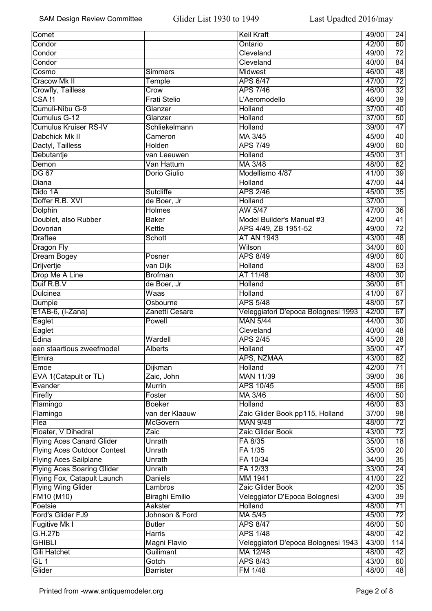| Comet                              |                     | <b>Keil Kraft</b>                   | 49/00 | $\overline{24}$ |
|------------------------------------|---------------------|-------------------------------------|-------|-----------------|
| Condor                             |                     | Ontario                             | 42/00 | 60              |
| Condor                             |                     | Cleveland                           | 49/00 | $\overline{72}$ |
| Condor                             |                     | Cleveland                           | 40/00 | $\overline{84}$ |
| Cosmo                              | <b>Simmers</b>      | Midwest                             | 46/00 | $\overline{48}$ |
| <b>Cracow Mk II</b>                | Temple              | <b>APS 6/47</b>                     | 47/00 | $\overline{72}$ |
| <b>Crowfly, Tailless</b>           | Crow                | <b>APS 7/46</b>                     | 46/00 | $\overline{32}$ |
| $CSA$ !1                           | <b>Frati Stelio</b> | L'Aeromodello                       | 46/00 | $\overline{39}$ |
| Cumuli-Nibu G-9                    | Glanzer             | <b>Holland</b>                      | 37/00 | $\overline{40}$ |
|                                    |                     |                                     |       |                 |
| Cumulus G-12                       | Glanzer             | Holland                             | 37/00 | $\overline{50}$ |
| <b>Cumulus Kruiser RS-IV</b>       | Schliekelmann       | <b>Holland</b>                      | 39/00 | $\overline{47}$ |
| Dabchick Mk II                     | Cameron             | MA 3/45                             | 45/00 | 40              |
| Dactyl, Tailless                   | Holden              | <b>APS 7/49</b>                     | 49/00 | 60              |
| Debutantje                         | van Leeuwen         | Holland                             | 45/00 | $\overline{31}$ |
| Demon                              | Van Hattum          | MA 3/48                             | 48/00 | 62              |
| <b>DG 67</b>                       | Dorio Giulio        | Modellismo 4/87                     | 41/00 | $\overline{39}$ |
| Diana                              |                     | Holland                             | 47/00 | 44              |
| Dido 1A                            | Sutcliffe           | <b>APS 2/46</b>                     | 45/00 | $\overline{35}$ |
| Doffer R.B. XVI                    | de Boer, Jr         | <b>Holland</b>                      | 37/00 |                 |
| Dolphin                            | <b>Holmes</b>       | AW 5/47                             | 47/00 | 36              |
| Doublet, also Rubber               | <b>Baker</b>        | Model Builder's Manual #3           | 42/00 | $\overline{41}$ |
| Dovorian                           | Kettle              | APS 4/49, ZB 1951-52                | 49/00 | $\overline{72}$ |
| <b>Draftee</b>                     | Schott              | <b>AT AN 1943</b>                   | 43/00 | 48              |
| <b>Dragon Fly</b>                  |                     | Wilson                              | 34/00 | $\overline{60}$ |
| <b>Dream Bogey</b>                 | Posner              | <b>APS 8/49</b>                     | 49/00 | $\overline{60}$ |
| <b>Drijvertje</b>                  | van Dijk            | Holland                             | 48/00 | $\overline{63}$ |
| Drop Me A Line                     | <b>Brofman</b>      | AT 11/48                            | 48/00 | $\overline{30}$ |
| Duif R.B.V                         |                     | <b>Holland</b>                      | 36/00 | $\overline{61}$ |
|                                    | de Boer, Jr         |                                     |       |                 |
| <b>Dulcinea</b>                    | Waas                | Holland                             | 41/00 | $\overline{67}$ |
| Dumpie                             | Osbourne            | <b>APS 5/48</b>                     | 48/00 | $\overline{57}$ |
| E1AB-6, (I-Zana)                   | Zanetti Cesare      | Veleggiatori D'epoca Bolognesi 1993 | 42/00 | 67              |
| Eaglet                             | Powell              | <b>MAN 5/44</b>                     | 44/00 | $\overline{30}$ |
| Eaglet                             |                     | Cleveland                           | 40/00 | 48              |
| Edina                              | Wardell             | <b>APS 2/45</b>                     | 45/00 | 28              |
| een staartious zweefmodel          | <b>Alberts</b>      | Holland                             | 35/00 | $\overline{47}$ |
| Elmira                             |                     | APS, NZMAA                          | 43/00 | 62              |
| Emoe                               | Dijkman             | Holland                             | 42/00 | $\overline{71}$ |
| EVA 1(Catapult or TL)              | Zaic, John          | <b>MAN 11/39</b>                    | 39/00 | 36              |
| Evander                            | <b>Murrin</b>       | APS 10/45                           | 45/00 | 66              |
| Firefly                            | Foster              | MA 3/46                             | 46/00 | $\overline{50}$ |
| Flamingo                           | <b>Boeker</b>       | <b>Holland</b>                      | 46/00 | $\overline{63}$ |
| Flamingo                           | van der Klaauw      | Zaic Glider Book pp115, Holland     | 37/00 | $\overline{98}$ |
| Flea                               | <b>McGovern</b>     | <b>MAN 9/48</b>                     | 48/00 | $\overline{72}$ |
| Floater, V Dihedral                | Zaic                | Zaic Glider Book                    | 43/00 | $\overline{72}$ |
| <b>Flying Aces Canard Glider</b>   | Unrath              | FA 8/35                             | 35/00 | $\overline{18}$ |
| <b>Flying Aces Outdoor Contest</b> | Unrath              | FA 1/35                             | 35/00 | $\overline{20}$ |
| <b>Flying Aces Sailplane</b>       | Unrath              | FA 10/34                            | 34/00 | $\overline{35}$ |
| <b>Flying Aces Soaring Glider</b>  | Unrath              | FA 12/33                            | 33/00 | $\overline{24}$ |
| Flying Fox, Catapult Launch        | <b>Daniels</b>      | MM 1941                             | 41/00 | $\overline{22}$ |
| <b>Flying Wing Glider</b>          | Lambros             | Zaic Glider Book                    | 42/00 | $\overline{35}$ |
|                                    |                     |                                     |       |                 |
| FM10 (M10)                         | Biraghi Emilio      | Veleggiator D'Epoca Bolognesi       | 43/00 | $\overline{39}$ |
| Foetsie                            | Aakster             | <b>Holland</b>                      | 48/00 | $\overline{71}$ |
| Ford's Glider FJ9                  | Johnson & Ford      | MA 5/45                             | 45/00 | $\overline{72}$ |
| Fugitive Mk I                      | <b>Butler</b>       | <b>APS 8/47</b>                     | 46/00 | $\overline{50}$ |
| G.H.27b                            | Harris              | <b>APS 1/48</b>                     | 48/00 | $\overline{42}$ |
| <b>GHIBLI</b>                      | Magni Flavio        | Veleggiatori D'epoca Bolognesi 1943 | 43/00 | 114             |
| <b>Gili Hatchet</b>                | Guilimant           | MA 12/48                            | 48/00 | 42              |
| GL 1                               | Gotch               | <b>APS 8/43</b>                     | 43/00 | 60              |
| Glider                             | <b>Barrister</b>    | FM 1/48                             | 48/00 | 48              |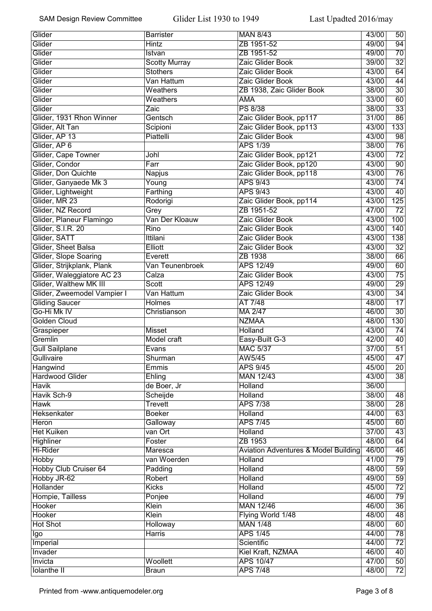| Glider                       | <b>Barrister</b>       | <b>MAN 8/43</b>                      | 43/00 | 50               |
|------------------------------|------------------------|--------------------------------------|-------|------------------|
| Glider                       | <b>Hintz</b>           | ZB 1951-52                           | 49/00 | 94               |
| Glider                       | Istvan                 | ZB 1951-52                           | 49/00 | $\overline{70}$  |
| Glider                       | <b>Scotty Murray</b>   | Zaic Glider Book                     | 39/00 | $\overline{32}$  |
| Glider                       | <b>Stothers</b>        | Zaic Glider Book                     | 43/00 | 64               |
| Glider                       | Van Hattum             | Zaic Glider Book                     | 43/00 | 44               |
| Glider                       | Weathers               | ZB 1938, Zaic Glider Book            | 38/00 | $\overline{30}$  |
| Glider                       | Weathers               | <b>AMA</b>                           | 33/00 | 60               |
| Glider                       | Zaic                   | <b>PS 8/38</b>                       | 38/00 | $\overline{33}$  |
| Glider, 1931 Rhon Winner     | Gentsch                | Zaic Glider Book, pp117              | 31/00 | 86               |
| Glider, Alt Tan              | Scipioni               | Zaic Glider Book, pp113              | 43/00 | $\overline{133}$ |
| Glider, AP 13                | Piattelli              | Zaic Glider Book                     | 43/00 | $\overline{98}$  |
| Glider, AP 6                 |                        | <b>APS 1/39</b>                      | 38/00 | $\overline{76}$  |
| Glider, Cape Towner          | Johl                   | Zaic Glider Book, pp121              | 43/00 | $\overline{72}$  |
| Glider, Condor               | Farr                   | Zaic Glider Book, pp120              | 43/00 | 90               |
| Glider, Don Quichte          | Napjus                 | Zaic Glider Book, pp118              | 43/00 | $\overline{76}$  |
| Glider, Ganyaede Mk 3        | Young                  | <b>APS 9/43</b>                      | 43/00 | 74               |
| Glider, Lightweight          | Farthing               | <b>APS 9/43</b>                      | 43/00 | 40               |
| Glider, MR 23                | Rodorigi               | Zaic Glider Book, pp114              | 43/00 | $\overline{125}$ |
| Glider, NZ Record            |                        | ZB 1951-52                           | 47/00 | $\overline{72}$  |
|                              | Grey<br>Van Der Kloauw | Zaic Glider Book                     | 43/00 | 100              |
| Glider, Planeur Flamingo     |                        |                                      |       |                  |
| Glider, S.I.R. 20            | Rino                   | Zaic Glider Book                     | 43/00 | 140              |
| Glider, SATT                 | Ittilani               | Zaic Glider Book                     | 43/00 | 138              |
| Glider, Sheet Balsa          | <b>Elliott</b>         | Zaic Glider Book                     | 43/00 | $\overline{32}$  |
| Glider, Slope Soaring        | Everett                | ZB 1938                              | 38/00 | 66               |
| Glider, Strijkplank, Plank   | Van Teunenbroek        | <b>APS 12/49</b>                     | 49/00 | 60               |
| Glider, Waleggiatore AC 23   | Calza                  | Zaic Glider Book                     | 43/00 | $\overline{75}$  |
| Glider, Walthew MK III       | Scott                  | <b>APS 12/49</b>                     | 49/00 | $\overline{29}$  |
| Glider, Zweemodel Vampier I  | Van Hattum             | Zaic Glider Book                     | 43/00 | $\overline{34}$  |
| <b>Gliding Saucer</b>        | Holmes                 | AT 7/48                              | 48/00 | $\overline{17}$  |
| Go-Hi Mk IV                  | Christianson           | MA 2/47                              | 46/00 | $\overline{30}$  |
| <b>Golden Cloud</b>          |                        | <b>NZMAA</b>                         | 48/00 | 130              |
| Graspieper                   | <b>Misset</b>          | Holland                              | 43/00 | 74               |
| Gremlin                      | Model craft            | Easy-Built G-3                       | 42/00 | 40               |
| <b>Gull Sailplane</b>        | Evans                  | <b>MAC 5/37</b>                      | 37/00 | $\overline{51}$  |
| Gullivaire                   | Shurman                | AW5/45                               | 45/00 | 47               |
| Hangwind                     | Emmis                  | <b>APS 9/45</b>                      | 45/00 | $\overline{20}$  |
| <b>Hardwood Glider</b>       | Ehling                 | <b>MAN 12/43</b>                     | 43/00 | 38               |
| <b>Havik</b>                 | de Boer, Jr            | Holland                              | 36/00 |                  |
| Havik Sch-9                  | Scheijde               | Holland                              | 38/00 | 48               |
| <b>Hawk</b>                  | Trevett                | <b>APS 7/38</b>                      | 38/00 | $\overline{28}$  |
| Heksenkater                  | <b>Boeker</b>          | <b>Holland</b>                       | 44/00 | 63               |
| Heron                        | Galloway               | <b>APS 7/45</b>                      | 45/00 | 60               |
| <b>Het Kuiken</b>            | van Ort                | <b>Holland</b>                       | 37/00 | $\overline{43}$  |
| <b>Highliner</b>             | Foster                 | ZB 1953                              | 48/00 | 64               |
| Hi-Rider                     | Maresca                | Aviation Adventures & Model Building | 46/00 | $\overline{46}$  |
| <b>Hobby</b>                 | van Woerden            | <b>Holland</b>                       | 41/00 | 79               |
| <b>Hobby Club Cruiser 64</b> | Padding                | <b>Holland</b>                       | 48/00 | $\overline{59}$  |
| Hobby JR-62                  | Robert                 | <b>Holland</b>                       | 49/00 | $\overline{59}$  |
| Hollander                    | <b>Kicks</b>           | <b>Holland</b>                       | 45/00 | $\overline{72}$  |
| Hompie, Tailless             | Ponjee                 | Holland                              | 46/00 | $\overline{79}$  |
| Hooker                       | Klein                  | <b>MAN 12/46</b>                     | 46/00 | $\overline{36}$  |
| <b>Hooker</b>                | Klein                  | Flying World 1/48                    | 48/00 | 48               |
| <b>Hot Shot</b>              | Holloway               | <b>MAN 1/48</b>                      | 48/00 | 60               |
| Igo                          | Harris                 | <b>APS 1/45</b>                      | 44/00 | 78               |
| Imperial                     |                        | Scientific                           | 44/00 | $\overline{72}$  |
| Invader                      |                        | Kiel Kraft, NZMAA                    | 46/00 | 40               |
| Invicta                      | Woollett               | <b>APS 10/47</b>                     | 47/00 | 50               |
| <b>Iolanthe II</b>           | <b>Braun</b>           | <b>APS 7/48</b>                      | 48/00 | $\overline{72}$  |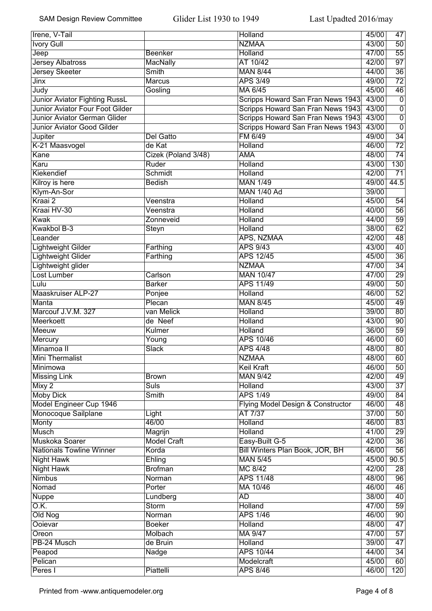| $\overline{50}$<br><b>Ivory Gull</b><br><b>NZMAA</b><br>43/00<br>$\overline{55}$<br>Jeep<br><b>Beenker</b><br><b>Holland</b><br>47/00<br>$\overline{97}$<br><b>Jersey Albatross</b><br>AT 10/42<br>42/00<br><b>MacNally</b><br>$\overline{36}$<br><b>Jersey Skeeter</b><br><b>Smith</b><br><b>MAN 8/44</b><br>44/00<br>$\overline{72}$<br><b>APS 3/49</b><br>49/00<br>Jinx<br><b>Marcus</b><br>$\overline{46}$<br>Judy<br>MA 6/45<br>45/00<br>Gosling<br>$\overline{0}$<br>Junior Aviator Fighting RussL<br>43/00<br>Scripps Howard San Fran News 1943<br><b>Junior Aviator Four Foot Gilder</b><br>Scripps Howard San Fran News 1943<br>43/00<br>$\overline{0}$<br>Scripps Howard San Fran News 1943<br>$\overline{0}$<br><b>Junior Aviator German Glider</b><br>43/00<br>Scripps Howard San Fran News 1943<br>$\overline{0}$<br>Junior Aviator Good Gilder<br>43/00<br>$\overline{34}$<br>FM 6/49<br>Jupiter<br><b>Del Gatto</b><br>49/00<br>$\overline{72}$<br>K-21 Maasvogel<br>de Kat<br>Holland<br>46/00<br>$\overline{74}$<br>Kane<br>Cizek (Poland 3/48)<br>48/00<br><b>AMA</b><br>130<br>Karu<br>Ruder<br>43/00<br>Holland<br>Kiekendief<br>$\overline{71}$<br>Schmidt<br>Holland<br>42/00<br><b>MAN 1/49</b><br>44.5<br>Kilroy is here<br><b>Bedish</b><br>49/00<br>Klym-An-Sor<br><b>MAN 1/40 Ad</b><br>39/00<br>Kraai 2<br><b>Holland</b><br>45/00<br>Veenstra<br>54<br>Kraai HV-30<br>56<br>Veenstra<br>Holland<br>40/00<br>$\overline{59}$<br>Kwak<br>Holland<br>44/00<br>Zonneveid<br>Kwakbol B-3<br>62<br>Holland<br>38/00<br>Steyn<br>APS, NZMAA<br>$\overline{48}$<br>Leander<br>42/00<br>$\overline{40}$<br><b>APS 9/43</b><br>Lightweight Gilder<br>Farthing<br>43/00<br>$\overline{36}$<br><b>Lightweight Glider</b><br><b>APS 12/45</b><br>45/00<br>Farthing<br>$\overline{34}$<br>Lightweight glider<br><b>NZMAA</b><br>47/00<br>29<br><b>Lost Lumber</b><br><b>MAN 10/47</b><br>Carlson<br>47/00<br>$\overline{50}$<br>Lulu<br><b>APS 11/49</b><br><b>Barker</b><br>49/00<br><b>Maaskruiser ALP-27</b><br>$\overline{52}$<br>Holland<br>46/00<br>Ponjee<br>Manta<br>Plecan<br><b>MAN 8/45</b><br>45/00<br>49<br>80<br>Marcouf J.V.M. 327<br>Holland<br>39/00<br>van Melick<br>$\overline{90}$<br>de Neef<br>43/00<br>Meerkoett<br>Holland<br>59<br>Kulmer<br>Meeuw<br>Holland<br>36/00<br>60<br>APS 10/46<br>Mercury<br>Young<br>46/00<br>$\overline{80}$<br>Minamoa II<br><b>APS 4/48</b><br>48/00<br>Slack<br><b>Mini Thermalist</b><br><b>NZMAA</b><br>48/00<br>60<br>50<br><b>Keil Kraft</b><br>46/00<br>Minimowa<br><b>Missing Link</b><br><b>MAN 9/42</b><br>42/00<br>49<br><b>Brown</b><br>$\overline{37}$<br><b>Suls</b><br>Holland<br>43/00<br>Mixy 2<br><b>Moby Dick</b><br><b>APS 1/49</b><br>84<br><b>Smith</b><br>49/00<br>Model Engineer Cup 1946<br>$\overline{48}$<br>Flying Model Design & Constructor<br>46/00<br>$\overline{50}$<br>Monocoque Sailplane<br>AT 7/37<br>37/00<br>Light<br>$\overline{83}$<br>46/00<br><b>Holland</b><br>Monty<br>46/00<br>$\overline{29}$<br><b>Musch</b><br><b>Holland</b><br>41/00<br>Magrijn<br>$\overline{36}$<br>Muskoka Soarer<br><b>Model Craft</b><br>Easy-Built G-5<br>42/00<br>$\overline{56}$<br><b>Nationals Towline Winner</b><br>Korda<br>Bill Winters Plan Book, JOR, BH<br>46/00<br><b>Night Hawk</b><br>Ehling<br><b>MAN 5/45</b><br>45/00<br>90.5<br>MC 8/42<br><b>Night Hawk</b><br><b>Brofman</b><br>42/00<br>28<br>$\overline{96}$<br><b>Nimbus</b><br><b>APS 11/48</b><br>Norman<br>48/00<br>Nomad<br>Porter<br>MA 10/46<br>46<br>46/00<br>AD<br>40<br><b>Nuppe</b><br>38/00<br>Lundberg<br>$\overline{O.K.}$<br>59<br>Storm<br>Holland<br>47/00<br>Old Nog<br><b>APS 1/46</b><br>$\overline{90}$<br>Norman<br>46/00<br>Ooievar<br>Holland<br>$\overline{47}$<br><b>Boeker</b><br>48/00<br>57<br>MA 9/47<br>47/00<br>Oreon<br>Molbach | Irene, V-Tail |          | Holland | 45/00 | 47              |
|--------------------------------------------------------------------------------------------------------------------------------------------------------------------------------------------------------------------------------------------------------------------------------------------------------------------------------------------------------------------------------------------------------------------------------------------------------------------------------------------------------------------------------------------------------------------------------------------------------------------------------------------------------------------------------------------------------------------------------------------------------------------------------------------------------------------------------------------------------------------------------------------------------------------------------------------------------------------------------------------------------------------------------------------------------------------------------------------------------------------------------------------------------------------------------------------------------------------------------------------------------------------------------------------------------------------------------------------------------------------------------------------------------------------------------------------------------------------------------------------------------------------------------------------------------------------------------------------------------------------------------------------------------------------------------------------------------------------------------------------------------------------------------------------------------------------------------------------------------------------------------------------------------------------------------------------------------------------------------------------------------------------------------------------------------------------------------------------------------------------------------------------------------------------------------------------------------------------------------------------------------------------------------------------------------------------------------------------------------------------------------------------------------------------------------------------------------------------------------------------------------------------------------------------------------------------------------------------------------------------------------------------------------------------------------------------------------------------------------------------------------------------------------------------------------------------------------------------------------------------------------------------------------------------------------------------------------------------------------------------------------------------------------------------------------------------------------------------------------------------------------------------------------------------------------------------------------------------------------------------------------------------------------------------------------------------------------------------------------------------------------------------------------------------------------------------------------------------------------------------------------------------------------------------------------------------------------------------------------------------------------------------------------------------------------------------------------------------------------------------------------------------------------------------------------------------------------------|---------------|----------|---------|-------|-----------------|
|                                                                                                                                                                                                                                                                                                                                                                                                                                                                                                                                                                                                                                                                                                                                                                                                                                                                                                                                                                                                                                                                                                                                                                                                                                                                                                                                                                                                                                                                                                                                                                                                                                                                                                                                                                                                                                                                                                                                                                                                                                                                                                                                                                                                                                                                                                                                                                                                                                                                                                                                                                                                                                                                                                                                                                                                                                                                                                                                                                                                                                                                                                                                                                                                                                                                                                                                                                                                                                                                                                                                                                                                                                                                                                                                                                                                                                      |               |          |         |       |                 |
|                                                                                                                                                                                                                                                                                                                                                                                                                                                                                                                                                                                                                                                                                                                                                                                                                                                                                                                                                                                                                                                                                                                                                                                                                                                                                                                                                                                                                                                                                                                                                                                                                                                                                                                                                                                                                                                                                                                                                                                                                                                                                                                                                                                                                                                                                                                                                                                                                                                                                                                                                                                                                                                                                                                                                                                                                                                                                                                                                                                                                                                                                                                                                                                                                                                                                                                                                                                                                                                                                                                                                                                                                                                                                                                                                                                                                                      |               |          |         |       |                 |
|                                                                                                                                                                                                                                                                                                                                                                                                                                                                                                                                                                                                                                                                                                                                                                                                                                                                                                                                                                                                                                                                                                                                                                                                                                                                                                                                                                                                                                                                                                                                                                                                                                                                                                                                                                                                                                                                                                                                                                                                                                                                                                                                                                                                                                                                                                                                                                                                                                                                                                                                                                                                                                                                                                                                                                                                                                                                                                                                                                                                                                                                                                                                                                                                                                                                                                                                                                                                                                                                                                                                                                                                                                                                                                                                                                                                                                      |               |          |         |       |                 |
|                                                                                                                                                                                                                                                                                                                                                                                                                                                                                                                                                                                                                                                                                                                                                                                                                                                                                                                                                                                                                                                                                                                                                                                                                                                                                                                                                                                                                                                                                                                                                                                                                                                                                                                                                                                                                                                                                                                                                                                                                                                                                                                                                                                                                                                                                                                                                                                                                                                                                                                                                                                                                                                                                                                                                                                                                                                                                                                                                                                                                                                                                                                                                                                                                                                                                                                                                                                                                                                                                                                                                                                                                                                                                                                                                                                                                                      |               |          |         |       |                 |
|                                                                                                                                                                                                                                                                                                                                                                                                                                                                                                                                                                                                                                                                                                                                                                                                                                                                                                                                                                                                                                                                                                                                                                                                                                                                                                                                                                                                                                                                                                                                                                                                                                                                                                                                                                                                                                                                                                                                                                                                                                                                                                                                                                                                                                                                                                                                                                                                                                                                                                                                                                                                                                                                                                                                                                                                                                                                                                                                                                                                                                                                                                                                                                                                                                                                                                                                                                                                                                                                                                                                                                                                                                                                                                                                                                                                                                      |               |          |         |       |                 |
|                                                                                                                                                                                                                                                                                                                                                                                                                                                                                                                                                                                                                                                                                                                                                                                                                                                                                                                                                                                                                                                                                                                                                                                                                                                                                                                                                                                                                                                                                                                                                                                                                                                                                                                                                                                                                                                                                                                                                                                                                                                                                                                                                                                                                                                                                                                                                                                                                                                                                                                                                                                                                                                                                                                                                                                                                                                                                                                                                                                                                                                                                                                                                                                                                                                                                                                                                                                                                                                                                                                                                                                                                                                                                                                                                                                                                                      |               |          |         |       |                 |
|                                                                                                                                                                                                                                                                                                                                                                                                                                                                                                                                                                                                                                                                                                                                                                                                                                                                                                                                                                                                                                                                                                                                                                                                                                                                                                                                                                                                                                                                                                                                                                                                                                                                                                                                                                                                                                                                                                                                                                                                                                                                                                                                                                                                                                                                                                                                                                                                                                                                                                                                                                                                                                                                                                                                                                                                                                                                                                                                                                                                                                                                                                                                                                                                                                                                                                                                                                                                                                                                                                                                                                                                                                                                                                                                                                                                                                      |               |          |         |       |                 |
|                                                                                                                                                                                                                                                                                                                                                                                                                                                                                                                                                                                                                                                                                                                                                                                                                                                                                                                                                                                                                                                                                                                                                                                                                                                                                                                                                                                                                                                                                                                                                                                                                                                                                                                                                                                                                                                                                                                                                                                                                                                                                                                                                                                                                                                                                                                                                                                                                                                                                                                                                                                                                                                                                                                                                                                                                                                                                                                                                                                                                                                                                                                                                                                                                                                                                                                                                                                                                                                                                                                                                                                                                                                                                                                                                                                                                                      |               |          |         |       |                 |
|                                                                                                                                                                                                                                                                                                                                                                                                                                                                                                                                                                                                                                                                                                                                                                                                                                                                                                                                                                                                                                                                                                                                                                                                                                                                                                                                                                                                                                                                                                                                                                                                                                                                                                                                                                                                                                                                                                                                                                                                                                                                                                                                                                                                                                                                                                                                                                                                                                                                                                                                                                                                                                                                                                                                                                                                                                                                                                                                                                                                                                                                                                                                                                                                                                                                                                                                                                                                                                                                                                                                                                                                                                                                                                                                                                                                                                      |               |          |         |       |                 |
|                                                                                                                                                                                                                                                                                                                                                                                                                                                                                                                                                                                                                                                                                                                                                                                                                                                                                                                                                                                                                                                                                                                                                                                                                                                                                                                                                                                                                                                                                                                                                                                                                                                                                                                                                                                                                                                                                                                                                                                                                                                                                                                                                                                                                                                                                                                                                                                                                                                                                                                                                                                                                                                                                                                                                                                                                                                                                                                                                                                                                                                                                                                                                                                                                                                                                                                                                                                                                                                                                                                                                                                                                                                                                                                                                                                                                                      |               |          |         |       |                 |
|                                                                                                                                                                                                                                                                                                                                                                                                                                                                                                                                                                                                                                                                                                                                                                                                                                                                                                                                                                                                                                                                                                                                                                                                                                                                                                                                                                                                                                                                                                                                                                                                                                                                                                                                                                                                                                                                                                                                                                                                                                                                                                                                                                                                                                                                                                                                                                                                                                                                                                                                                                                                                                                                                                                                                                                                                                                                                                                                                                                                                                                                                                                                                                                                                                                                                                                                                                                                                                                                                                                                                                                                                                                                                                                                                                                                                                      |               |          |         |       |                 |
|                                                                                                                                                                                                                                                                                                                                                                                                                                                                                                                                                                                                                                                                                                                                                                                                                                                                                                                                                                                                                                                                                                                                                                                                                                                                                                                                                                                                                                                                                                                                                                                                                                                                                                                                                                                                                                                                                                                                                                                                                                                                                                                                                                                                                                                                                                                                                                                                                                                                                                                                                                                                                                                                                                                                                                                                                                                                                                                                                                                                                                                                                                                                                                                                                                                                                                                                                                                                                                                                                                                                                                                                                                                                                                                                                                                                                                      |               |          |         |       |                 |
|                                                                                                                                                                                                                                                                                                                                                                                                                                                                                                                                                                                                                                                                                                                                                                                                                                                                                                                                                                                                                                                                                                                                                                                                                                                                                                                                                                                                                                                                                                                                                                                                                                                                                                                                                                                                                                                                                                                                                                                                                                                                                                                                                                                                                                                                                                                                                                                                                                                                                                                                                                                                                                                                                                                                                                                                                                                                                                                                                                                                                                                                                                                                                                                                                                                                                                                                                                                                                                                                                                                                                                                                                                                                                                                                                                                                                                      |               |          |         |       |                 |
|                                                                                                                                                                                                                                                                                                                                                                                                                                                                                                                                                                                                                                                                                                                                                                                                                                                                                                                                                                                                                                                                                                                                                                                                                                                                                                                                                                                                                                                                                                                                                                                                                                                                                                                                                                                                                                                                                                                                                                                                                                                                                                                                                                                                                                                                                                                                                                                                                                                                                                                                                                                                                                                                                                                                                                                                                                                                                                                                                                                                                                                                                                                                                                                                                                                                                                                                                                                                                                                                                                                                                                                                                                                                                                                                                                                                                                      |               |          |         |       |                 |
|                                                                                                                                                                                                                                                                                                                                                                                                                                                                                                                                                                                                                                                                                                                                                                                                                                                                                                                                                                                                                                                                                                                                                                                                                                                                                                                                                                                                                                                                                                                                                                                                                                                                                                                                                                                                                                                                                                                                                                                                                                                                                                                                                                                                                                                                                                                                                                                                                                                                                                                                                                                                                                                                                                                                                                                                                                                                                                                                                                                                                                                                                                                                                                                                                                                                                                                                                                                                                                                                                                                                                                                                                                                                                                                                                                                                                                      |               |          |         |       |                 |
|                                                                                                                                                                                                                                                                                                                                                                                                                                                                                                                                                                                                                                                                                                                                                                                                                                                                                                                                                                                                                                                                                                                                                                                                                                                                                                                                                                                                                                                                                                                                                                                                                                                                                                                                                                                                                                                                                                                                                                                                                                                                                                                                                                                                                                                                                                                                                                                                                                                                                                                                                                                                                                                                                                                                                                                                                                                                                                                                                                                                                                                                                                                                                                                                                                                                                                                                                                                                                                                                                                                                                                                                                                                                                                                                                                                                                                      |               |          |         |       |                 |
|                                                                                                                                                                                                                                                                                                                                                                                                                                                                                                                                                                                                                                                                                                                                                                                                                                                                                                                                                                                                                                                                                                                                                                                                                                                                                                                                                                                                                                                                                                                                                                                                                                                                                                                                                                                                                                                                                                                                                                                                                                                                                                                                                                                                                                                                                                                                                                                                                                                                                                                                                                                                                                                                                                                                                                                                                                                                                                                                                                                                                                                                                                                                                                                                                                                                                                                                                                                                                                                                                                                                                                                                                                                                                                                                                                                                                                      |               |          |         |       |                 |
|                                                                                                                                                                                                                                                                                                                                                                                                                                                                                                                                                                                                                                                                                                                                                                                                                                                                                                                                                                                                                                                                                                                                                                                                                                                                                                                                                                                                                                                                                                                                                                                                                                                                                                                                                                                                                                                                                                                                                                                                                                                                                                                                                                                                                                                                                                                                                                                                                                                                                                                                                                                                                                                                                                                                                                                                                                                                                                                                                                                                                                                                                                                                                                                                                                                                                                                                                                                                                                                                                                                                                                                                                                                                                                                                                                                                                                      |               |          |         |       |                 |
|                                                                                                                                                                                                                                                                                                                                                                                                                                                                                                                                                                                                                                                                                                                                                                                                                                                                                                                                                                                                                                                                                                                                                                                                                                                                                                                                                                                                                                                                                                                                                                                                                                                                                                                                                                                                                                                                                                                                                                                                                                                                                                                                                                                                                                                                                                                                                                                                                                                                                                                                                                                                                                                                                                                                                                                                                                                                                                                                                                                                                                                                                                                                                                                                                                                                                                                                                                                                                                                                                                                                                                                                                                                                                                                                                                                                                                      |               |          |         |       |                 |
|                                                                                                                                                                                                                                                                                                                                                                                                                                                                                                                                                                                                                                                                                                                                                                                                                                                                                                                                                                                                                                                                                                                                                                                                                                                                                                                                                                                                                                                                                                                                                                                                                                                                                                                                                                                                                                                                                                                                                                                                                                                                                                                                                                                                                                                                                                                                                                                                                                                                                                                                                                                                                                                                                                                                                                                                                                                                                                                                                                                                                                                                                                                                                                                                                                                                                                                                                                                                                                                                                                                                                                                                                                                                                                                                                                                                                                      |               |          |         |       |                 |
|                                                                                                                                                                                                                                                                                                                                                                                                                                                                                                                                                                                                                                                                                                                                                                                                                                                                                                                                                                                                                                                                                                                                                                                                                                                                                                                                                                                                                                                                                                                                                                                                                                                                                                                                                                                                                                                                                                                                                                                                                                                                                                                                                                                                                                                                                                                                                                                                                                                                                                                                                                                                                                                                                                                                                                                                                                                                                                                                                                                                                                                                                                                                                                                                                                                                                                                                                                                                                                                                                                                                                                                                                                                                                                                                                                                                                                      |               |          |         |       |                 |
|                                                                                                                                                                                                                                                                                                                                                                                                                                                                                                                                                                                                                                                                                                                                                                                                                                                                                                                                                                                                                                                                                                                                                                                                                                                                                                                                                                                                                                                                                                                                                                                                                                                                                                                                                                                                                                                                                                                                                                                                                                                                                                                                                                                                                                                                                                                                                                                                                                                                                                                                                                                                                                                                                                                                                                                                                                                                                                                                                                                                                                                                                                                                                                                                                                                                                                                                                                                                                                                                                                                                                                                                                                                                                                                                                                                                                                      |               |          |         |       |                 |
|                                                                                                                                                                                                                                                                                                                                                                                                                                                                                                                                                                                                                                                                                                                                                                                                                                                                                                                                                                                                                                                                                                                                                                                                                                                                                                                                                                                                                                                                                                                                                                                                                                                                                                                                                                                                                                                                                                                                                                                                                                                                                                                                                                                                                                                                                                                                                                                                                                                                                                                                                                                                                                                                                                                                                                                                                                                                                                                                                                                                                                                                                                                                                                                                                                                                                                                                                                                                                                                                                                                                                                                                                                                                                                                                                                                                                                      |               |          |         |       |                 |
|                                                                                                                                                                                                                                                                                                                                                                                                                                                                                                                                                                                                                                                                                                                                                                                                                                                                                                                                                                                                                                                                                                                                                                                                                                                                                                                                                                                                                                                                                                                                                                                                                                                                                                                                                                                                                                                                                                                                                                                                                                                                                                                                                                                                                                                                                                                                                                                                                                                                                                                                                                                                                                                                                                                                                                                                                                                                                                                                                                                                                                                                                                                                                                                                                                                                                                                                                                                                                                                                                                                                                                                                                                                                                                                                                                                                                                      |               |          |         |       |                 |
|                                                                                                                                                                                                                                                                                                                                                                                                                                                                                                                                                                                                                                                                                                                                                                                                                                                                                                                                                                                                                                                                                                                                                                                                                                                                                                                                                                                                                                                                                                                                                                                                                                                                                                                                                                                                                                                                                                                                                                                                                                                                                                                                                                                                                                                                                                                                                                                                                                                                                                                                                                                                                                                                                                                                                                                                                                                                                                                                                                                                                                                                                                                                                                                                                                                                                                                                                                                                                                                                                                                                                                                                                                                                                                                                                                                                                                      |               |          |         |       |                 |
|                                                                                                                                                                                                                                                                                                                                                                                                                                                                                                                                                                                                                                                                                                                                                                                                                                                                                                                                                                                                                                                                                                                                                                                                                                                                                                                                                                                                                                                                                                                                                                                                                                                                                                                                                                                                                                                                                                                                                                                                                                                                                                                                                                                                                                                                                                                                                                                                                                                                                                                                                                                                                                                                                                                                                                                                                                                                                                                                                                                                                                                                                                                                                                                                                                                                                                                                                                                                                                                                                                                                                                                                                                                                                                                                                                                                                                      |               |          |         |       |                 |
|                                                                                                                                                                                                                                                                                                                                                                                                                                                                                                                                                                                                                                                                                                                                                                                                                                                                                                                                                                                                                                                                                                                                                                                                                                                                                                                                                                                                                                                                                                                                                                                                                                                                                                                                                                                                                                                                                                                                                                                                                                                                                                                                                                                                                                                                                                                                                                                                                                                                                                                                                                                                                                                                                                                                                                                                                                                                                                                                                                                                                                                                                                                                                                                                                                                                                                                                                                                                                                                                                                                                                                                                                                                                                                                                                                                                                                      |               |          |         |       |                 |
|                                                                                                                                                                                                                                                                                                                                                                                                                                                                                                                                                                                                                                                                                                                                                                                                                                                                                                                                                                                                                                                                                                                                                                                                                                                                                                                                                                                                                                                                                                                                                                                                                                                                                                                                                                                                                                                                                                                                                                                                                                                                                                                                                                                                                                                                                                                                                                                                                                                                                                                                                                                                                                                                                                                                                                                                                                                                                                                                                                                                                                                                                                                                                                                                                                                                                                                                                                                                                                                                                                                                                                                                                                                                                                                                                                                                                                      |               |          |         |       |                 |
|                                                                                                                                                                                                                                                                                                                                                                                                                                                                                                                                                                                                                                                                                                                                                                                                                                                                                                                                                                                                                                                                                                                                                                                                                                                                                                                                                                                                                                                                                                                                                                                                                                                                                                                                                                                                                                                                                                                                                                                                                                                                                                                                                                                                                                                                                                                                                                                                                                                                                                                                                                                                                                                                                                                                                                                                                                                                                                                                                                                                                                                                                                                                                                                                                                                                                                                                                                                                                                                                                                                                                                                                                                                                                                                                                                                                                                      |               |          |         |       |                 |
|                                                                                                                                                                                                                                                                                                                                                                                                                                                                                                                                                                                                                                                                                                                                                                                                                                                                                                                                                                                                                                                                                                                                                                                                                                                                                                                                                                                                                                                                                                                                                                                                                                                                                                                                                                                                                                                                                                                                                                                                                                                                                                                                                                                                                                                                                                                                                                                                                                                                                                                                                                                                                                                                                                                                                                                                                                                                                                                                                                                                                                                                                                                                                                                                                                                                                                                                                                                                                                                                                                                                                                                                                                                                                                                                                                                                                                      |               |          |         |       |                 |
|                                                                                                                                                                                                                                                                                                                                                                                                                                                                                                                                                                                                                                                                                                                                                                                                                                                                                                                                                                                                                                                                                                                                                                                                                                                                                                                                                                                                                                                                                                                                                                                                                                                                                                                                                                                                                                                                                                                                                                                                                                                                                                                                                                                                                                                                                                                                                                                                                                                                                                                                                                                                                                                                                                                                                                                                                                                                                                                                                                                                                                                                                                                                                                                                                                                                                                                                                                                                                                                                                                                                                                                                                                                                                                                                                                                                                                      |               |          |         |       |                 |
|                                                                                                                                                                                                                                                                                                                                                                                                                                                                                                                                                                                                                                                                                                                                                                                                                                                                                                                                                                                                                                                                                                                                                                                                                                                                                                                                                                                                                                                                                                                                                                                                                                                                                                                                                                                                                                                                                                                                                                                                                                                                                                                                                                                                                                                                                                                                                                                                                                                                                                                                                                                                                                                                                                                                                                                                                                                                                                                                                                                                                                                                                                                                                                                                                                                                                                                                                                                                                                                                                                                                                                                                                                                                                                                                                                                                                                      |               |          |         |       |                 |
|                                                                                                                                                                                                                                                                                                                                                                                                                                                                                                                                                                                                                                                                                                                                                                                                                                                                                                                                                                                                                                                                                                                                                                                                                                                                                                                                                                                                                                                                                                                                                                                                                                                                                                                                                                                                                                                                                                                                                                                                                                                                                                                                                                                                                                                                                                                                                                                                                                                                                                                                                                                                                                                                                                                                                                                                                                                                                                                                                                                                                                                                                                                                                                                                                                                                                                                                                                                                                                                                                                                                                                                                                                                                                                                                                                                                                                      |               |          |         |       |                 |
|                                                                                                                                                                                                                                                                                                                                                                                                                                                                                                                                                                                                                                                                                                                                                                                                                                                                                                                                                                                                                                                                                                                                                                                                                                                                                                                                                                                                                                                                                                                                                                                                                                                                                                                                                                                                                                                                                                                                                                                                                                                                                                                                                                                                                                                                                                                                                                                                                                                                                                                                                                                                                                                                                                                                                                                                                                                                                                                                                                                                                                                                                                                                                                                                                                                                                                                                                                                                                                                                                                                                                                                                                                                                                                                                                                                                                                      |               |          |         |       |                 |
|                                                                                                                                                                                                                                                                                                                                                                                                                                                                                                                                                                                                                                                                                                                                                                                                                                                                                                                                                                                                                                                                                                                                                                                                                                                                                                                                                                                                                                                                                                                                                                                                                                                                                                                                                                                                                                                                                                                                                                                                                                                                                                                                                                                                                                                                                                                                                                                                                                                                                                                                                                                                                                                                                                                                                                                                                                                                                                                                                                                                                                                                                                                                                                                                                                                                                                                                                                                                                                                                                                                                                                                                                                                                                                                                                                                                                                      |               |          |         |       |                 |
|                                                                                                                                                                                                                                                                                                                                                                                                                                                                                                                                                                                                                                                                                                                                                                                                                                                                                                                                                                                                                                                                                                                                                                                                                                                                                                                                                                                                                                                                                                                                                                                                                                                                                                                                                                                                                                                                                                                                                                                                                                                                                                                                                                                                                                                                                                                                                                                                                                                                                                                                                                                                                                                                                                                                                                                                                                                                                                                                                                                                                                                                                                                                                                                                                                                                                                                                                                                                                                                                                                                                                                                                                                                                                                                                                                                                                                      |               |          |         |       |                 |
|                                                                                                                                                                                                                                                                                                                                                                                                                                                                                                                                                                                                                                                                                                                                                                                                                                                                                                                                                                                                                                                                                                                                                                                                                                                                                                                                                                                                                                                                                                                                                                                                                                                                                                                                                                                                                                                                                                                                                                                                                                                                                                                                                                                                                                                                                                                                                                                                                                                                                                                                                                                                                                                                                                                                                                                                                                                                                                                                                                                                                                                                                                                                                                                                                                                                                                                                                                                                                                                                                                                                                                                                                                                                                                                                                                                                                                      |               |          |         |       |                 |
|                                                                                                                                                                                                                                                                                                                                                                                                                                                                                                                                                                                                                                                                                                                                                                                                                                                                                                                                                                                                                                                                                                                                                                                                                                                                                                                                                                                                                                                                                                                                                                                                                                                                                                                                                                                                                                                                                                                                                                                                                                                                                                                                                                                                                                                                                                                                                                                                                                                                                                                                                                                                                                                                                                                                                                                                                                                                                                                                                                                                                                                                                                                                                                                                                                                                                                                                                                                                                                                                                                                                                                                                                                                                                                                                                                                                                                      |               |          |         |       |                 |
|                                                                                                                                                                                                                                                                                                                                                                                                                                                                                                                                                                                                                                                                                                                                                                                                                                                                                                                                                                                                                                                                                                                                                                                                                                                                                                                                                                                                                                                                                                                                                                                                                                                                                                                                                                                                                                                                                                                                                                                                                                                                                                                                                                                                                                                                                                                                                                                                                                                                                                                                                                                                                                                                                                                                                                                                                                                                                                                                                                                                                                                                                                                                                                                                                                                                                                                                                                                                                                                                                                                                                                                                                                                                                                                                                                                                                                      |               |          |         |       |                 |
|                                                                                                                                                                                                                                                                                                                                                                                                                                                                                                                                                                                                                                                                                                                                                                                                                                                                                                                                                                                                                                                                                                                                                                                                                                                                                                                                                                                                                                                                                                                                                                                                                                                                                                                                                                                                                                                                                                                                                                                                                                                                                                                                                                                                                                                                                                                                                                                                                                                                                                                                                                                                                                                                                                                                                                                                                                                                                                                                                                                                                                                                                                                                                                                                                                                                                                                                                                                                                                                                                                                                                                                                                                                                                                                                                                                                                                      |               |          |         |       |                 |
|                                                                                                                                                                                                                                                                                                                                                                                                                                                                                                                                                                                                                                                                                                                                                                                                                                                                                                                                                                                                                                                                                                                                                                                                                                                                                                                                                                                                                                                                                                                                                                                                                                                                                                                                                                                                                                                                                                                                                                                                                                                                                                                                                                                                                                                                                                                                                                                                                                                                                                                                                                                                                                                                                                                                                                                                                                                                                                                                                                                                                                                                                                                                                                                                                                                                                                                                                                                                                                                                                                                                                                                                                                                                                                                                                                                                                                      |               |          |         |       |                 |
|                                                                                                                                                                                                                                                                                                                                                                                                                                                                                                                                                                                                                                                                                                                                                                                                                                                                                                                                                                                                                                                                                                                                                                                                                                                                                                                                                                                                                                                                                                                                                                                                                                                                                                                                                                                                                                                                                                                                                                                                                                                                                                                                                                                                                                                                                                                                                                                                                                                                                                                                                                                                                                                                                                                                                                                                                                                                                                                                                                                                                                                                                                                                                                                                                                                                                                                                                                                                                                                                                                                                                                                                                                                                                                                                                                                                                                      |               |          |         |       |                 |
|                                                                                                                                                                                                                                                                                                                                                                                                                                                                                                                                                                                                                                                                                                                                                                                                                                                                                                                                                                                                                                                                                                                                                                                                                                                                                                                                                                                                                                                                                                                                                                                                                                                                                                                                                                                                                                                                                                                                                                                                                                                                                                                                                                                                                                                                                                                                                                                                                                                                                                                                                                                                                                                                                                                                                                                                                                                                                                                                                                                                                                                                                                                                                                                                                                                                                                                                                                                                                                                                                                                                                                                                                                                                                                                                                                                                                                      |               |          |         |       |                 |
|                                                                                                                                                                                                                                                                                                                                                                                                                                                                                                                                                                                                                                                                                                                                                                                                                                                                                                                                                                                                                                                                                                                                                                                                                                                                                                                                                                                                                                                                                                                                                                                                                                                                                                                                                                                                                                                                                                                                                                                                                                                                                                                                                                                                                                                                                                                                                                                                                                                                                                                                                                                                                                                                                                                                                                                                                                                                                                                                                                                                                                                                                                                                                                                                                                                                                                                                                                                                                                                                                                                                                                                                                                                                                                                                                                                                                                      |               |          |         |       |                 |
|                                                                                                                                                                                                                                                                                                                                                                                                                                                                                                                                                                                                                                                                                                                                                                                                                                                                                                                                                                                                                                                                                                                                                                                                                                                                                                                                                                                                                                                                                                                                                                                                                                                                                                                                                                                                                                                                                                                                                                                                                                                                                                                                                                                                                                                                                                                                                                                                                                                                                                                                                                                                                                                                                                                                                                                                                                                                                                                                                                                                                                                                                                                                                                                                                                                                                                                                                                                                                                                                                                                                                                                                                                                                                                                                                                                                                                      |               |          |         |       |                 |
|                                                                                                                                                                                                                                                                                                                                                                                                                                                                                                                                                                                                                                                                                                                                                                                                                                                                                                                                                                                                                                                                                                                                                                                                                                                                                                                                                                                                                                                                                                                                                                                                                                                                                                                                                                                                                                                                                                                                                                                                                                                                                                                                                                                                                                                                                                                                                                                                                                                                                                                                                                                                                                                                                                                                                                                                                                                                                                                                                                                                                                                                                                                                                                                                                                                                                                                                                                                                                                                                                                                                                                                                                                                                                                                                                                                                                                      |               |          |         |       |                 |
|                                                                                                                                                                                                                                                                                                                                                                                                                                                                                                                                                                                                                                                                                                                                                                                                                                                                                                                                                                                                                                                                                                                                                                                                                                                                                                                                                                                                                                                                                                                                                                                                                                                                                                                                                                                                                                                                                                                                                                                                                                                                                                                                                                                                                                                                                                                                                                                                                                                                                                                                                                                                                                                                                                                                                                                                                                                                                                                                                                                                                                                                                                                                                                                                                                                                                                                                                                                                                                                                                                                                                                                                                                                                                                                                                                                                                                      |               |          |         |       |                 |
|                                                                                                                                                                                                                                                                                                                                                                                                                                                                                                                                                                                                                                                                                                                                                                                                                                                                                                                                                                                                                                                                                                                                                                                                                                                                                                                                                                                                                                                                                                                                                                                                                                                                                                                                                                                                                                                                                                                                                                                                                                                                                                                                                                                                                                                                                                                                                                                                                                                                                                                                                                                                                                                                                                                                                                                                                                                                                                                                                                                                                                                                                                                                                                                                                                                                                                                                                                                                                                                                                                                                                                                                                                                                                                                                                                                                                                      |               |          |         |       |                 |
|                                                                                                                                                                                                                                                                                                                                                                                                                                                                                                                                                                                                                                                                                                                                                                                                                                                                                                                                                                                                                                                                                                                                                                                                                                                                                                                                                                                                                                                                                                                                                                                                                                                                                                                                                                                                                                                                                                                                                                                                                                                                                                                                                                                                                                                                                                                                                                                                                                                                                                                                                                                                                                                                                                                                                                                                                                                                                                                                                                                                                                                                                                                                                                                                                                                                                                                                                                                                                                                                                                                                                                                                                                                                                                                                                                                                                                      |               |          |         |       |                 |
|                                                                                                                                                                                                                                                                                                                                                                                                                                                                                                                                                                                                                                                                                                                                                                                                                                                                                                                                                                                                                                                                                                                                                                                                                                                                                                                                                                                                                                                                                                                                                                                                                                                                                                                                                                                                                                                                                                                                                                                                                                                                                                                                                                                                                                                                                                                                                                                                                                                                                                                                                                                                                                                                                                                                                                                                                                                                                                                                                                                                                                                                                                                                                                                                                                                                                                                                                                                                                                                                                                                                                                                                                                                                                                                                                                                                                                      |               |          |         |       |                 |
|                                                                                                                                                                                                                                                                                                                                                                                                                                                                                                                                                                                                                                                                                                                                                                                                                                                                                                                                                                                                                                                                                                                                                                                                                                                                                                                                                                                                                                                                                                                                                                                                                                                                                                                                                                                                                                                                                                                                                                                                                                                                                                                                                                                                                                                                                                                                                                                                                                                                                                                                                                                                                                                                                                                                                                                                                                                                                                                                                                                                                                                                                                                                                                                                                                                                                                                                                                                                                                                                                                                                                                                                                                                                                                                                                                                                                                      |               |          |         |       |                 |
|                                                                                                                                                                                                                                                                                                                                                                                                                                                                                                                                                                                                                                                                                                                                                                                                                                                                                                                                                                                                                                                                                                                                                                                                                                                                                                                                                                                                                                                                                                                                                                                                                                                                                                                                                                                                                                                                                                                                                                                                                                                                                                                                                                                                                                                                                                                                                                                                                                                                                                                                                                                                                                                                                                                                                                                                                                                                                                                                                                                                                                                                                                                                                                                                                                                                                                                                                                                                                                                                                                                                                                                                                                                                                                                                                                                                                                      |               |          |         |       |                 |
|                                                                                                                                                                                                                                                                                                                                                                                                                                                                                                                                                                                                                                                                                                                                                                                                                                                                                                                                                                                                                                                                                                                                                                                                                                                                                                                                                                                                                                                                                                                                                                                                                                                                                                                                                                                                                                                                                                                                                                                                                                                                                                                                                                                                                                                                                                                                                                                                                                                                                                                                                                                                                                                                                                                                                                                                                                                                                                                                                                                                                                                                                                                                                                                                                                                                                                                                                                                                                                                                                                                                                                                                                                                                                                                                                                                                                                      |               |          |         |       |                 |
|                                                                                                                                                                                                                                                                                                                                                                                                                                                                                                                                                                                                                                                                                                                                                                                                                                                                                                                                                                                                                                                                                                                                                                                                                                                                                                                                                                                                                                                                                                                                                                                                                                                                                                                                                                                                                                                                                                                                                                                                                                                                                                                                                                                                                                                                                                                                                                                                                                                                                                                                                                                                                                                                                                                                                                                                                                                                                                                                                                                                                                                                                                                                                                                                                                                                                                                                                                                                                                                                                                                                                                                                                                                                                                                                                                                                                                      |               |          |         |       |                 |
|                                                                                                                                                                                                                                                                                                                                                                                                                                                                                                                                                                                                                                                                                                                                                                                                                                                                                                                                                                                                                                                                                                                                                                                                                                                                                                                                                                                                                                                                                                                                                                                                                                                                                                                                                                                                                                                                                                                                                                                                                                                                                                                                                                                                                                                                                                                                                                                                                                                                                                                                                                                                                                                                                                                                                                                                                                                                                                                                                                                                                                                                                                                                                                                                                                                                                                                                                                                                                                                                                                                                                                                                                                                                                                                                                                                                                                      |               |          |         |       |                 |
|                                                                                                                                                                                                                                                                                                                                                                                                                                                                                                                                                                                                                                                                                                                                                                                                                                                                                                                                                                                                                                                                                                                                                                                                                                                                                                                                                                                                                                                                                                                                                                                                                                                                                                                                                                                                                                                                                                                                                                                                                                                                                                                                                                                                                                                                                                                                                                                                                                                                                                                                                                                                                                                                                                                                                                                                                                                                                                                                                                                                                                                                                                                                                                                                                                                                                                                                                                                                                                                                                                                                                                                                                                                                                                                                                                                                                                      |               |          |         |       |                 |
|                                                                                                                                                                                                                                                                                                                                                                                                                                                                                                                                                                                                                                                                                                                                                                                                                                                                                                                                                                                                                                                                                                                                                                                                                                                                                                                                                                                                                                                                                                                                                                                                                                                                                                                                                                                                                                                                                                                                                                                                                                                                                                                                                                                                                                                                                                                                                                                                                                                                                                                                                                                                                                                                                                                                                                                                                                                                                                                                                                                                                                                                                                                                                                                                                                                                                                                                                                                                                                                                                                                                                                                                                                                                                                                                                                                                                                      | PB-24 Musch   | de Bruin | Holland | 39/00 | $\overline{47}$ |
| <b>APS 10/44</b><br>34<br>Peapod<br>44/00<br>Nadge                                                                                                                                                                                                                                                                                                                                                                                                                                                                                                                                                                                                                                                                                                                                                                                                                                                                                                                                                                                                                                                                                                                                                                                                                                                                                                                                                                                                                                                                                                                                                                                                                                                                                                                                                                                                                                                                                                                                                                                                                                                                                                                                                                                                                                                                                                                                                                                                                                                                                                                                                                                                                                                                                                                                                                                                                                                                                                                                                                                                                                                                                                                                                                                                                                                                                                                                                                                                                                                                                                                                                                                                                                                                                                                                                                                   |               |          |         |       |                 |
| 60<br>Pelican<br>Modelcraft<br>45/00                                                                                                                                                                                                                                                                                                                                                                                                                                                                                                                                                                                                                                                                                                                                                                                                                                                                                                                                                                                                                                                                                                                                                                                                                                                                                                                                                                                                                                                                                                                                                                                                                                                                                                                                                                                                                                                                                                                                                                                                                                                                                                                                                                                                                                                                                                                                                                                                                                                                                                                                                                                                                                                                                                                                                                                                                                                                                                                                                                                                                                                                                                                                                                                                                                                                                                                                                                                                                                                                                                                                                                                                                                                                                                                                                                                                 |               |          |         |       |                 |
| Peres I<br><b>APS 8/46</b><br>$\overline{120}$<br>Piattelli<br>46/00                                                                                                                                                                                                                                                                                                                                                                                                                                                                                                                                                                                                                                                                                                                                                                                                                                                                                                                                                                                                                                                                                                                                                                                                                                                                                                                                                                                                                                                                                                                                                                                                                                                                                                                                                                                                                                                                                                                                                                                                                                                                                                                                                                                                                                                                                                                                                                                                                                                                                                                                                                                                                                                                                                                                                                                                                                                                                                                                                                                                                                                                                                                                                                                                                                                                                                                                                                                                                                                                                                                                                                                                                                                                                                                                                                 |               |          |         |       |                 |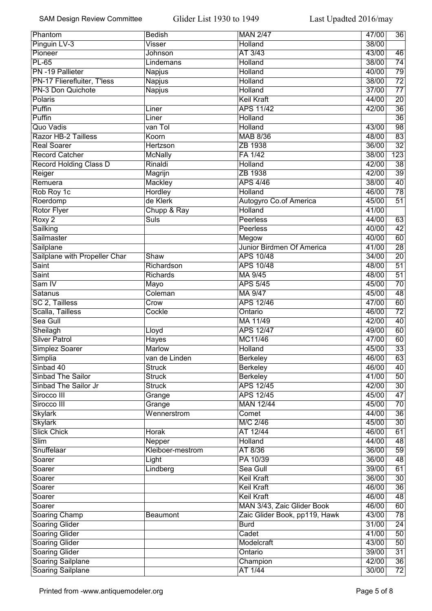| Phantom                       | <b>Bedish</b>       | <b>MAN 2/47</b>               | 47/00 | $\overline{36}$  |
|-------------------------------|---------------------|-------------------------------|-------|------------------|
| Pinguin LV-3                  | Visser              | Holland                       | 38/00 |                  |
| Pioneer                       | <b>Johnson</b>      | AT 3/43                       | 43/00 | 46               |
| <b>PL-65</b>                  | Lindemans           | Holland                       | 38/00 | $\overline{74}$  |
| PN -19 Pallieter              | Napjus              | Holland                       | 40/00 | 79               |
| PN-17 Flierefluiter, T'less   | <b>Napjus</b>       | Holland                       | 38/00 | $\overline{72}$  |
| PN-3 Don Quichote             | <b>Napjus</b>       | Holland                       | 37/00 | $\overline{77}$  |
| Polaris                       |                     | <b>Keil Kraft</b>             | 44/00 | $\overline{20}$  |
| Puffin                        | Liner               | <b>APS 11/42</b>              | 42/00 | $\overline{36}$  |
| Puffin                        | Liner               | Holland                       |       | $\overline{36}$  |
| Quo Vadis                     | van Tol             | Holland                       | 43/00 | 98               |
| <b>Razor HB-2 Tailless</b>    | Koorn               | <b>MAB 8/36</b>               | 48/00 | 83               |
| <b>Real Soarer</b>            | Hertzson            | ZB 1938                       | 36/00 | $\overline{32}$  |
| <b>Record Catcher</b>         | <b>McNally</b>      | FA 1/42                       | 38/00 | $\overline{123}$ |
| <b>Record Holding Class D</b> | Rinaldi             | Holland                       | 42/00 | $\overline{38}$  |
| Reiger                        | Magrijn             | ZB 1938                       | 42/00 | $\overline{39}$  |
| Remuera                       | Mackley             | <b>APS 4/46</b>               | 38/00 | 40               |
| Rob Roy 1c                    | <b>Hordley</b>      | Holland                       | 46/00 | 78               |
| Roerdomp                      | de Klerk            | Autogyro Co.of America        | 45/00 | $\overline{51}$  |
| <b>Rotor Flyer</b>            |                     | Holland                       | 41/00 |                  |
|                               | Chupp & Ray<br>Suls | <b>Peerless</b>               | 44/00 | 63               |
| Roxy 2                        |                     |                               |       |                  |
| Sailking                      |                     | <b>Peerless</b>               | 40/00 | $\overline{42}$  |
| Sailmaster                    |                     | Megow                         | 40/00 | 60               |
| Sailplane                     |                     | Junior Birdmen Of America     | 41/00 | $\overline{28}$  |
| Sailplane with Propeller Char | Shaw                | <b>APS 10/48</b>              | 34/00 | $\overline{20}$  |
| Saint                         | Richardson          | <b>APS 10/48</b>              | 48/00 | $\overline{51}$  |
| Saint                         | Richards            | MA 9/45                       | 48/00 | $\overline{51}$  |
| Sam IV                        | Mayo                | <b>APS 5/45</b>               | 45/00 | $\overline{70}$  |
| <b>Satanus</b>                | Coleman             | <b>MA 9/47</b>                | 45/00 | 48               |
| SC 2, Tailless                | Crow                | <b>APS 12/46</b>              | 47/00 | 60               |
| Scalla, Tailless              | Cockle              | Ontario                       | 46/00 | $\overline{72}$  |
| Sea Gull                      |                     | MA 11/49                      | 42/00 | 40               |
| Sheilagh                      | Lloyd               | <b>APS 12/47</b>              | 49/00 | 60               |
| <b>Silver Patrol</b>          | Hayes               | MC11/46                       | 47/00 | 60               |
| Simplez Soarer                | <b>Marlow</b>       | Holland                       | 45/00 | 33               |
| Simplia                       | van de Linden       | <b>Berkeley</b>               | 46/00 | 63               |
| Sinbad 40                     | <b>Struck</b>       | Berkeley                      | 46/00 | $\overline{40}$  |
| <b>Sinbad The Sailor</b>      | <b>Struck</b>       | <b>Berkeley</b>               | 41/00 | 50               |
| Sinbad The Sailor Jr          | <b>Struck</b>       | <b>APS 12/45</b>              | 42/00 | 30               |
| Sirocco III                   | Grange              | <b>APS 12/45</b>              | 45/00 | $\overline{47}$  |
| Sirocco III                   | Grange              | <b>MAN 12/44</b>              | 45/00 | $\overline{70}$  |
| <b>Skylark</b>                | Wennerstrom         | Comet                         | 44/00 | $\overline{36}$  |
| <b>Skylark</b>                |                     | M/C 2/46                      | 45/00 | $\overline{30}$  |
| <b>Slick Chick</b>            | <b>Horak</b>        | AT 12/44                      | 46/00 | 61               |
| $\overline{\text{Slim}}$      | Nepper              | <b>Holland</b>                | 44/00 | 48               |
| Snuffelaar                    | Kleiboer-mestrom    | AT 8/36                       | 36/00 | $\overline{59}$  |
| Soarer                        | Light               | PA 10/39                      | 36/00 | $\overline{48}$  |
| Soarer                        | Lindberg            | Sea Gull                      | 39/00 | 61               |
| Soarer                        |                     | <b>Keil Kraft</b>             | 36/00 | $\overline{30}$  |
| Soarer                        |                     | <b>Keil Kraft</b>             | 46/00 | $\overline{36}$  |
|                               |                     | <b>Keil Kraft</b>             | 46/00 | 48               |
| Soarer                        |                     |                               |       |                  |
| Soarer                        |                     | MAN 3/43, Zaic Glider Book    | 46/00 | 60               |
| Soaring Champ                 | <b>Beaumont</b>     | Zaic Glider Book, pp119, Hawk | 43/00 | 78               |
| <b>Soaring Glider</b>         |                     | <b>Burd</b>                   | 31/00 | 24               |
| <b>Soaring Glider</b>         |                     | Cadet                         | 41/00 | 50               |
| <b>Soaring Glider</b>         |                     | Modelcraft                    | 43/00 | 50               |
| <b>Soaring Glider</b>         |                     | Ontario                       | 39/00 | 31               |
| <b>Soaring Sailplane</b>      |                     | Champion                      | 42/00 | 36               |
| <b>Soaring Sailplane</b>      |                     | AT 1/44                       | 30/00 | $\overline{72}$  |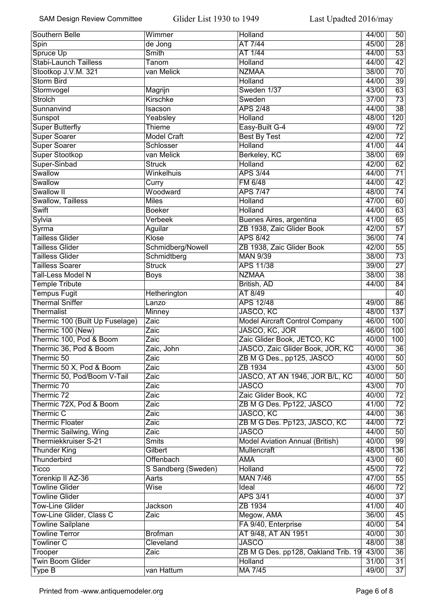| Southern Belle                  | Wimmer                       | Holland                               | 44/00          | 50               |
|---------------------------------|------------------------------|---------------------------------------|----------------|------------------|
| Spin                            | de Jong                      | AT 7/44                               | 45/00          | $\overline{28}$  |
| Spruce Up                       | Smith                        | AT 1/44                               | 44/00          | $\overline{53}$  |
| <b>Stabi-Launch Tailless</b>    | Tanom                        | Holland                               | 44/00          | $\overline{42}$  |
| Stootkop J.V.M. 321             | van Melick                   | <b>NZMAA</b>                          | 38/00          | $\overline{70}$  |
| <b>Storm Bird</b>               |                              | Holland                               | 44/00          | $\overline{39}$  |
| Stormvogel                      | Magrijn                      | Sweden 1/37                           | 43/00          | 63               |
| <b>Strolch</b>                  | <b>Kirschke</b>              | Sweden                                | 37/00          | $\overline{73}$  |
| Sunnanvind                      | Isacson                      | <b>APS 2/48</b>                       | 44/00          | $\overline{38}$  |
| Sunspot                         | Yeabsley                     | Holland                               | 48/00          | 120              |
| <b>Super Butterfly</b>          | <b>Thieme</b>                | Easy-Built G-4                        | 49/00          | $\overline{72}$  |
| <b>Super Soarer</b>             | <b>Model Craft</b>           | <b>Best By Test</b>                   | 42/00          | $\overline{72}$  |
| <b>Super Soarer</b>             | Schlosser                    | Holland                               | 41/00          | 44               |
| Super Stootkop                  | van Melick                   | Berkeley, KC                          | 38/00          | 69               |
| Super-Sinbad                    | <b>Struck</b>                | Holland                               | 42/00          | 62               |
| Swallow                         | <b>Winkelhuis</b>            | <b>APS 3/44</b>                       | 44/00          | $\overline{71}$  |
| Swallow                         | Curry                        | <b>FM 6/48</b>                        | 44/00          | 42               |
| Swallow II                      | Woodward                     | <b>APS 7/47</b>                       | 48/00          | 74               |
| Swallow, Tailless               | <b>Miles</b>                 | <b>Holland</b>                        | 47/00          | 60               |
| Swift                           | <b>Boeker</b>                | <b>Holland</b>                        | 44/00          | 63               |
| Sylvia                          | Verbeek                      | Buenes Aires, argentina               | 41/00          | 65               |
| Syrma                           | Aguilar                      | ZB 1938, Zaic Glider Book             | 42/00          | $\overline{57}$  |
| <b>Tailless Glider</b>          | Klose                        | <b>APS 8/42</b>                       | 36/00          | $\overline{74}$  |
| <b>Tailless Glider</b>          | Schmidberg/Nowell            | ZB 1938, Zaic Glider Book             | 42/00          | $\overline{55}$  |
| <b>Tailless Glider</b>          |                              | <b>MAN 9/39</b>                       | 38/00          | $\overline{73}$  |
| <b>Tailless Soarer</b>          | Schmidtberg<br><b>Struck</b> | <b>APS 11/38</b>                      | 39/00          | $\overline{27}$  |
|                                 |                              | <b>NZMAA</b>                          | 38/00          | $\overline{38}$  |
| Tall-Less Model N               | <b>Boys</b>                  |                                       |                |                  |
| <b>Temple Tribute</b>           |                              | British, AD                           | 44/00          | 84               |
| <b>Tempus Fugit</b>             | Hetherington                 | AT 8/49                               |                | 40               |
| <b>Thermal Sniffer</b>          | Lanzo                        | <b>APS 12/48</b>                      | 49/00          | 86               |
| <b>Thermalist</b>               | <b>Minney</b>                | JASCO, KC                             | 48/00          | $\overline{137}$ |
| Thermic 100 (Built Up Fuselage) | Zaic                         | <b>Model Aircraft Control Company</b> | 46/00          | 100              |
| Thermic 100 (New)               | Zaic                         | JASCO, KC, JOR                        | 46/00          | 100              |
| Thermic 100, Pod & Boom         | Zaic                         | Zaic Glider Book, JETCO, KC           | 40/00          | 100              |
| Thermic 36, Pod & Boom          | Zaic, John                   | JASCO, Zaic Glider Book, JOR, KC      | 40/00<br>40/00 | $\overline{36}$  |
| Thermic 50                      | Zaic                         | ZB M G Des., pp125, JASCO             |                | 50               |
| Thermic 50 X, Pod & Boom        | Zaic                         | ZB 1934                               | 43/00          | 50               |
| Thermic 50, Pod/Boom V-Tail     | Zaic                         | JASCO, AT AN 1946, JOR B/L, KC        | 40/00          | 50               |
| Thermic 70                      | Zaic                         | <b>JASCO</b>                          | 43/00          | 70               |
| Thermic 72                      | Zaic                         | Zaic Glider Book, KC                  | 40/00          | $\overline{72}$  |
| Thermic 72X, Pod & Boom         | Zaic                         | ZB M G Des. Pp122, JASCO              | 41/00          | $\overline{72}$  |
| Thermic C                       | Zaic                         | JASCO, KC                             | 44/00          | $\overline{36}$  |
| <b>Thermic Floater</b>          | Zaic                         | ZB M G Des. Pp123, JASCO, KC          | 44/00          | $\overline{72}$  |
| <b>Thermic Sailwing, Wing</b>   | Zaic                         | <b>JASCO</b>                          | 44/00          | $\overline{50}$  |
| Thermiekkruiser S-21            | <b>Smits</b>                 | Model Aviation Annual (British)       | 40/00          | 99               |
| <b>Thunder King</b>             | Gilbert                      | <b>Mullencraft</b>                    | 48/00          | 136              |
| Thunderbird                     | Offenbach                    | <b>AMA</b>                            | 43/00          | 60               |
| <b>Ticco</b>                    | S Sandberg (Sweden)          | <b>Holland</b>                        | 45/00          | $\overline{72}$  |
| Torenkip II AZ-36               | Aarts                        | <b>MAN 7/46</b>                       | 47/00          | $\overline{55}$  |
| <b>Towline Glider</b>           | <b>Wise</b>                  | Ideal                                 | 46/00          | $\overline{72}$  |
| <b>Towline Glider</b>           |                              | <b>APS 3/41</b>                       | 40/00          | $\overline{37}$  |
| <b>Tow-Line Glider</b>          | Jackson                      | ZB 1934                               | 41/00          | 40               |
| Tow-Line Glider, Class C        | Zaic                         | Megow, AMA                            | 36/00          | 45               |
| <b>Towline Sailplane</b>        |                              | FA 9/40, Enterprise                   | 40/00          | $\overline{54}$  |
| <b>Towline Terror</b>           | <b>Brofman</b>               | AT 9/48, AT AN 1951                   | 40/00          | 30               |
| <b>Towliner C</b>               | Cleveland                    | <b>JASCO</b>                          | 48/00          | $\overline{38}$  |
| Trooper                         | Zaic                         | ZB M G Des. pp128, Oakland Trib. 19   | 43/00          | 36               |
| <b>Twin Boom Glider</b>         |                              | Holland                               | 31/00          | 31               |
| Type B                          | van Hattum                   | <b>MA 7/45</b>                        | 49/00          | $\overline{37}$  |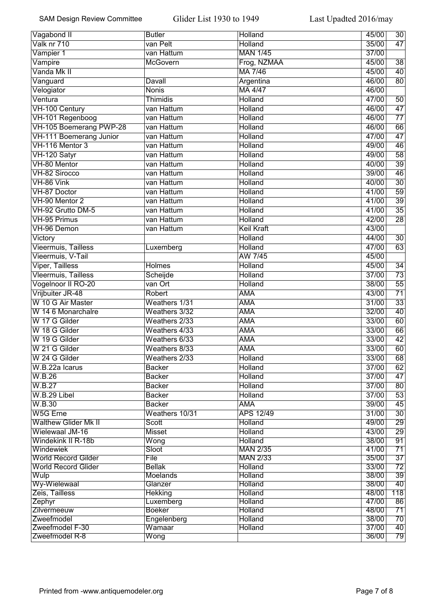| Vagabond II                    | <b>Butler</b>               | Holland                          | 45/00          | 30                     |
|--------------------------------|-----------------------------|----------------------------------|----------------|------------------------|
| Valk nr 710                    | van Pelt                    | Holland                          | 35/00          | $\overline{47}$        |
| Vampier 1                      | van Hattum                  | <b>MAN 1/45</b>                  | 37/00          |                        |
| Vampire                        | <b>McGovern</b>             | Frog, NZMAA                      | 45/00          | $\overline{38}$        |
| Vanda Mk II                    |                             | <b>MA 7/46</b>                   | 45/00          | 40                     |
| Vanguard                       | Davall                      | Argentina                        | 46/00          | $\overline{80}$        |
| Velogiator                     | <b>Nonis</b>                | <b>MA 4/47</b>                   | 46/00          |                        |
| Ventura                        | Thimidis                    | Holland                          | 47/00          | $\overline{50}$        |
| VH-100 Century                 | van Hattum                  | <b>Holland</b>                   | 46/00          | $\overline{47}$        |
| VH-101 Regenboog               | van Hattum                  | Holland                          | 46/00          | $\overline{77}$        |
| VH-105 Boemerang PWP-28        | van Hattum                  | <b>Holland</b>                   | 46/00          | $\overline{66}$        |
| <b>VH-111 Boemerang Junior</b> | van Hattum                  | Holland                          | 47/00          | $\overline{47}$        |
| VH-116 Mentor 3                | van Hattum                  | Holland                          | 49/00          | $\overline{46}$        |
| VH-120 Satyr                   | van Hattum                  | Holland                          | 49/00          | 58                     |
| VH-80 Mentor                   | van Hattum                  | Holland                          | 40/00          | 39                     |
| VH-82 Sirocco                  | van Hattum                  | Holland                          | 39/00          | 46                     |
| VH-86 Vink                     | van Hattum                  | <b>Holland</b>                   | 40/00          | 30                     |
| VH-87 Doctor                   | van Hattum                  | <b>Holland</b>                   | 41/00          | 59                     |
| VH-90 Mentor 2                 | van Hattum                  | Holland                          | 41/00          | $\overline{39}$        |
| VH-92 Grutto DM-5              | van Hattum                  | <b>Holland</b>                   | 41/00          | 35                     |
| <b>VH-95 Primus</b>            | van Hattum                  | Holland                          | 42/00          | $\overline{28}$        |
| VH-96 Demon                    | van Hattum                  | <b>Keil Kraft</b>                | 43/00          |                        |
| Victory                        |                             | Holland                          | 44/00          | $\overline{30}$        |
| <b>Vieermuis, Tailless</b>     | Luxemberg                   | <b>Holland</b>                   | 47/00          | $\overline{63}$        |
| Vieermuis, V-Tail              |                             | AW 7/45                          | 45/00          |                        |
| <b>Viper, Tailless</b>         | <b>Holmes</b>               | Holland                          | 45/00          | $\overline{34}$        |
| <b>Vleermuis, Tailless</b>     | Scheijde                    | <b>Holland</b>                   | 37/00          | $\overline{73}$        |
| Vogelnoor II RO-20             | van Ort                     | Holland                          | 38/00          | $\overline{55}$        |
| Vrijbuiter JR-48               | Robert                      | <b>AMA</b>                       | 43/00          | $\overline{71}$        |
| W 10 G Air Master              | Weathers 1/31               | <b>AMA</b>                       | 31/00          | $\overline{33}$        |
| W 14 6 Monarchalre             | Weathers 3/32               | <b>AMA</b>                       | 32/00          | $\overline{40}$        |
| W 17 G Gilder                  | Weathers 2/33               | <b>AMA</b>                       | 33/00          | $\overline{60}$        |
| W 18 G Gilder                  | Weathers 4/33               | <b>AMA</b>                       | 33/00          | 66                     |
| W 19 G Gilder                  | Weathers 6/33               | <b>AMA</b>                       | 33/00          | 42                     |
| W 21 G Gilder                  | Weathers 8/33               | <b>AMA</b>                       | 33/00          | 60                     |
| W 24 G Gilder                  | Weathers 2/33               | Holland                          | 33/00          | 68                     |
| W.B.22a Icarus                 | <b>Backer</b>               | Holland                          | 37/00          | 62                     |
| W.B.26                         | <b>Backer</b>               | <b>Holland</b>                   | 37/00          | 47                     |
| W.B.27                         | <b>Backer</b>               | <b>Holland</b>                   | 37/00          | 80                     |
| W.B.29 Libel                   | <b>Backer</b>               | <b>Holland</b>                   | 37/00          | $\overline{53}$        |
| W.B.30                         | <b>Backer</b>               | <b>AMA</b>                       | 39/00          | $\overline{45}$        |
| W5G Erne                       | Weathers 10/31              | <b>APS 12/49</b>                 | 31/00          | $\overline{30}$        |
| <b>Walthew Glider Mk II</b>    | Scott                       | Holland                          | 49/00          | $\overline{29}$        |
| Wielewaal JM-16                | <b>Misset</b>               | <b>Holland</b>                   | 43/00          | $\overline{29}$        |
| Windekink II R-18b             | Wong                        | Holland                          | 38/00          | 91                     |
| <b>Windewiek</b>               | Sloot                       | <b>MAN 2/35</b>                  | 41/00          | $\overline{71}$        |
| <b>World Record Gilder</b>     | File                        | <b>MAN 2/33</b>                  | 35/00          | $\overline{37}$        |
| <b>World Record Glider</b>     | <b>Bellak</b>               | <b>Holland</b>                   | 33/00          | $\overline{72}$        |
| Wulp                           | <b>Moelands</b>             | <b>Holland</b>                   | 38/00          | $\overline{39}$        |
| Wy-Wielewaal<br>Zeis, Tailless | Glanzer                     | <b>Holland</b><br><b>Holland</b> | 38/00<br>48/00 | 40<br>$\overline{118}$ |
| Zephyr                         | <b>Hekking</b><br>Luxemberg | <b>Holland</b>                   | 47/00          | 86                     |
| Zilvermeeuw                    | <b>Boeker</b>               | <b>Holland</b>                   | 48/00          | $\overline{71}$        |
| Zweefmodel                     | Engelenberg                 | <b>Holland</b>                   | 38/00          | $\overline{70}$        |
| Zweefmodel F-30                | Wamaar                      | <b>Holland</b>                   | 37/00          | $\overline{40}$        |
| Zweefmodel R-8                 | Wong                        |                                  | 36/00          | 79                     |